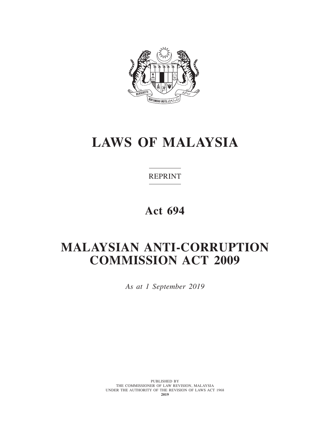

# **LAWS OF MALAYSIA**

REPRINT

**Act 694**

# **MALAYSIAN ANTI-CORRUPTION COMMISSION ACT 2009**

*As at 1 September 2019*

PUBLISHED BY THE COMMISSIONER OF LAW REVISION, MALAYSIA UNDER THE AUTHORITY OF THE REVISION OF LAWS ACT 1968 **2019**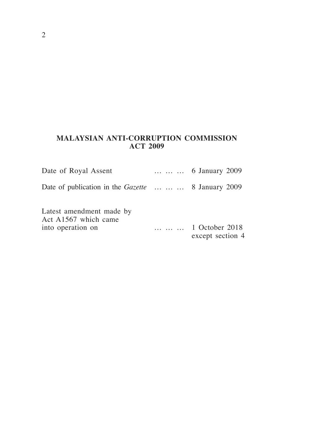# **MALAYSIAN ANTI-CORRUPTION COMMISSION ACT 2009**

| Date of Royal Assent                                                  | 6 January 2009                     |
|-----------------------------------------------------------------------|------------------------------------|
| Date of publication in the <i>Gazette</i> 8 January 2009              |                                    |
| Latest amendment made by<br>Act A1567 which came<br>into operation on | 1 October 2018<br>except section 4 |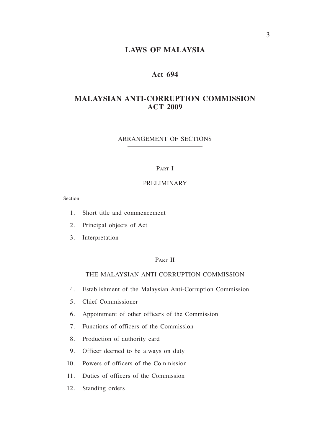## **LAWS OF MALAYSIA**

## **Act 694**

## **MALAYSIAN ANTI-CORRUPTION COMMISSION ACT 2009**

#### ARRANGEMENT OF SECTIONS

#### PART I

#### PRELIMINARY

Section

- 1. Short title and commencement
- 2. Principal objects of Act
- 3. Interpretation

## PART II

## THE MALAYSIAN ANTI-CORRUPTION COMMISSION

- 4. Establishment of the Malaysian Anti-Corruption Commission
- 5. Chief Commissioner
- 6. Appointment of other officers of the Commission
- 7. Functions of officers of the Commission
- 8. Production of authority card
- 9. Officer deemed to be always on duty
- 10. Powers of officers of the Commission
- 11. Duties of officers of the Commission
- 12. Standing orders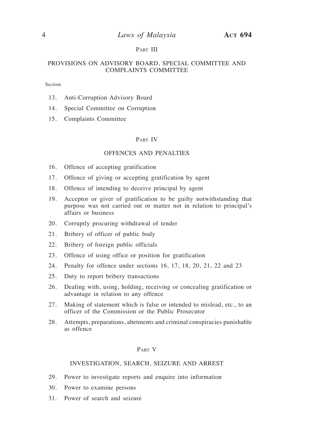## 4 *Laws of Malaysia* **Act 694**

#### PART III

#### PROVISIONS ON ADVISORY BOARD, SPECIAL COMMITTEE AND COMPLAINTS COMMITTEE

#### Section

- 13. Anti-Corruption Advisory Board
- 14. Special Committee on Corruption
- 15. Complaints Committee

#### Part IV

#### OFFENCES AND PENALTIES

- 16. Offence of accepting gratification
- 17. Offence of giving or accepting gratification by agent
- 18. Offence of intending to deceive principal by agent
- 19. Acceptor or giver of gratification to be guilty notwithstanding that purpose was not carried out or matter not in relation to principal's affairs or business
- 20. Corruptly procuring withdrawal of tender
- 21. Bribery of officer of public body
- 22. Bribery of foreign public officials
- 23. Offence of using office or position for gratification
- 24. Penalty for offence under sections 16, 17, 18, 20, 21, 22 and 23
- 25. Duty to report bribery transactions
- 26. Dealing with, using, holding, receiving or concealing gratification or advantage in relation to any offence
- 27. Making of statement which is false or intended to mislead, etc., to an officer of the Commission or the Public Prosecutor
- 28. Attempts, preparations, abetments and criminal conspiracies punishable as offence

#### Part V

#### INVESTIGATION, SEARCH, SEIZURE AND ARREST

- 29. Power to investigate reports and enquire into information
- 30. Power to examine persons
- 31. Power of search and seizure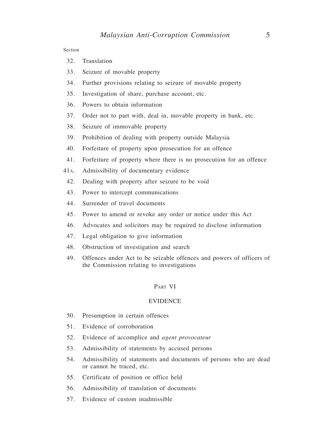Section

- 32. Translation
- 33. Seizure of movable property
- 34. Further provisions relating to seizure of movable property
- 35. Investigation of share, purchase account, etc.
- 36. Powers to obtain information
- 37. Order not to part with, deal in, movable property in bank, etc.
- 38. Seizure of immovable property
- 39. Prohibition of dealing with property outside Malaysia
- 40. Forfeiture of property upon prosecution for an offence
- 41. Forfeiture of property where there is no prosecution for an offence
- 41a. Admissibility of documentary evidence
- 42. Dealing with property after seizure to be void
- 43. Power to intercept communications
- 44. Surrender of travel documents
- 45. Power to amend or revoke any order or notice under this Act
- 46. Advocates and solicitors may be required to disclose information
- 47. Legal obligation to give information
- 48. Obstruction of investigation and search
- 49. Offences under Act to be seizable offences and powers of officers of the Commission relating to investigations

#### Part VI

#### EVIDENCE

- 50. Presumption in certain offences
- 51. Evidence of corroboration
- 52. Evidence of accomplice and *agent provocateur*
- 53. Admissibility of statements by accused persons
- 54. Admissibility of statements and documents of persons who are dead or cannot be traced, etc.
- 55. Certificate of position or office held
- 56. Admissibility of translation of documents
- 57. Evidence of custom inadmissible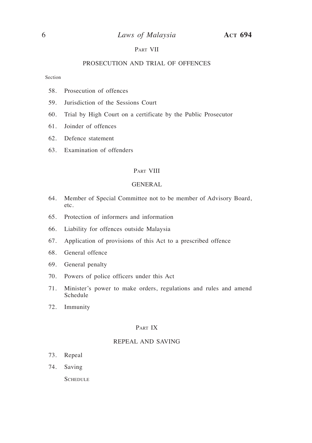#### Part VII

#### PROSECUTION AND TRIAL OF OFFENCES

Section

- 58. Prosecution of offences
- 59. Jurisdiction of the Sessions Court
- 60. Trial by High Court on a certificate by the Public Prosecutor
- 61. Joinder of offences
- 62. Defence statement
- 63. Examination of offenders

#### PART VIII

#### GENERAL

- 64. Member of Special Committee not to be member of Advisory Board, etc.
- 65. Protection of informers and information
- 66. Liability for offences outside Malaysia
- 67. Application of provisions of this Act to a prescribed offence
- 68. General offence
- 69. General penalty
- 70. Powers of police officers under this Act
- 71. Minister's power to make orders, regulations and rules and amend Schedule
- 72. Immunity

#### Part IX

#### REPEAL AND SAVING

- 73. Repeal
- 74. Saving

**SCHEDULE**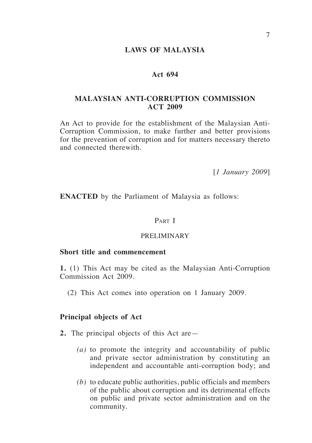## **LAWS OF MALAYSIA**

## **Act 694**

## **MALAYSIAN ANTI-CORRUPTION COMMISSION ACT 2009**

An Act to provide for the establishment of the Malaysian Anti-Corruption Commission, to make further and better provisions for the prevention of corruption and for matters necessary thereto and connected therewith.

[*1 January 2009*]

**ENACTED** by the Parliament of Malaysia as follows:

## Part I

## PRELIMINARY

## **Short title and commencement**

**1.** (1) This Act may be cited as the Malaysian Anti-Corruption Commission Act 2009.

(2) This Act comes into operation on 1 January 2009.

#### **Principal objects of Act**

- **2.** The principal objects of this Act are—
	- *(a)* to promote the integrity and accountability of public and private sector administration by constituting an independent and accountable anti-corruption body; and
	- *(b)* to educate public authorities, public officials and members of the public about corruption and its detrimental effects on public and private sector administration and on the community.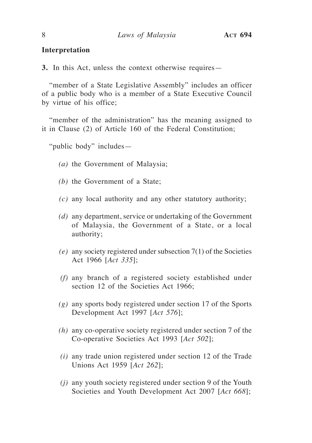## **Interpretation**

**3.** In this Act, unless the context otherwise requires—

"member of a State Legislative Assembly" includes an officer of a public body who is a member of a State Executive Council by virtue of his office;

"member of the administration" has the meaning assigned to it in Clause (2) of Article 160 of the Federal Constitution;

"public body" includes—

- *(a)* the Government of Malaysia;
- *(b)* the Government of a State;
- *(c)* any local authority and any other statutory authority;
- *(d)* any department, service or undertaking of the Government of Malaysia, the Government of a State, or a local authority;
- *(e)* any society registered under subsection 7(1) of the Societies Act 1966 [*Act 335*];
- *(f)* any branch of a registered society established under section 12 of the Societies Act 1966;
- *(g)* any sports body registered under section 17 of the Sports Development Act 1997 [*Act 576*];
- *(h)* any co-operative society registered under section 7 of the Co-operative Societies Act 1993 [*Act 502*];
- *(i)* any trade union registered under section 12 of the Trade Unions Act 1959 [*Act 262*];
- *(j)* any youth society registered under section 9 of the Youth Societies and Youth Development Act 2007 [*Act 668*];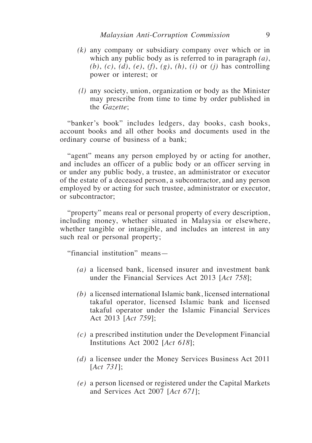- *(k)* any company or subsidiary company over which or in which any public body as is referred to in paragraph *(a)*, *(b)*, *(c)*, *(d)*, *(e)*, *(f)*, *(g)*, *(h)*, *(i)* or *(j)* has controlling power or interest; or
- *(l)* any society, union, organization or body as the Minister may prescribe from time to time by order published in the *Gazette*;

"banker's book" includes ledgers, day books, cash books, account books and all other books and documents used in the ordinary course of business of a bank;

"agent" means any person employed by or acting for another, and includes an officer of a public body or an officer serving in or under any public body, a trustee, an administrator or executor of the estate of a deceased person, a subcontractor, and any person employed by or acting for such trustee, administrator or executor, or subcontractor;

"property" means real or personal property of every description, including money, whether situated in Malaysia or elsewhere, whether tangible or intangible, and includes an interest in any such real or personal property;

"financial institution" means—

- *(a)* a licensed bank, licensed insurer and investment bank under the Financial Services Act 2013 [*Act 758*];
- *(b)* a licensed international Islamic bank, licensed international takaful operator, licensed Islamic bank and licensed takaful operator under the Islamic Financial Services Act 2013 [*Act 759*];
- *(c)* a prescribed institution under the Development Financial Institutions Act 2002 [*Act 618*];
- *(d)* a licensee under the Money Services Business Act 2011 [*Act 731*];
- *(e)* a person licensed or registered under the Capital Markets and Services Act 2007 [*Act 671*];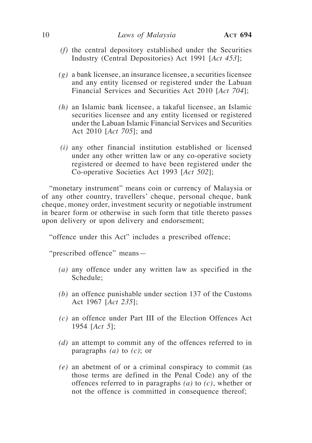- *(f)* the central depository established under the Securities Industry (Central Depositories) Act 1991 [*Act 453*];
- *(g)* a bank licensee, an insurance licensee, a securities licensee and any entity licensed or registered under the Labuan Financial Services and Securities Act 2010 [*Act 704*];
- *(h)* an Islamic bank licensee, a takaful licensee, an Islamic securities licensee and any entity licensed or registered under the Labuan Islamic Financial Services and Securities Act 2010 [*Act 705*]; and
- *(i)* any other financial institution established or licensed under any other written law or any co-operative society registered or deemed to have been registered under the Co-operative Societies Act 1993 [*Act 502*];

"monetary instrument" means coin or currency of Malaysia or of any other country, travellers' cheque, personal cheque, bank cheque, money order, investment security or negotiable instrument in bearer form or otherwise in such form that title thereto passes upon delivery or upon delivery and endorsement;

"offence under this Act" includes a prescribed offence;

"prescribed offence" means—

- *(a)* any offence under any written law as specified in the Schedule;
- *(b)* an offence punishable under section 137 of the Customs Act 1967 [*Act 235*];
- *(c)* an offence under Part III of the Election Offences Act 1954 [*Act 5*];
- *(d)* an attempt to commit any of the offences referred to in paragraphs *(a)* to *(c)*; or
- *(e)* an abetment of or a criminal conspiracy to commit (as those terms are defined in the Penal Code) any of the offences referred to in paragraphs *(a)* to *(c)*, whether or not the offence is committed in consequence thereof;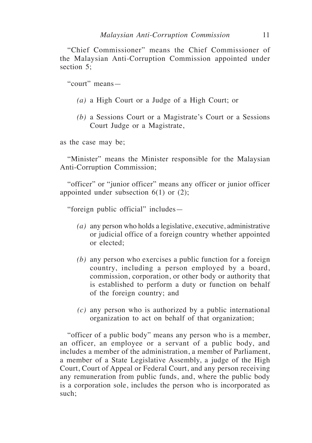"Chief Commissioner" means the Chief Commissioner of the Malaysian Anti-Corruption Commission appointed under section 5;

"court" means—

- *(a)* a High Court or a Judge of a High Court; or
- *(b)* a Sessions Court or a Magistrate's Court or a Sessions Court Judge or a Magistrate,

as the case may be;

"Minister" means the Minister responsible for the Malaysian Anti-Corruption Commission;

"officer" or "junior officer" means any officer or junior officer appointed under subsection  $6(1)$  or  $(2)$ ;

"foreign public official" includes—

- *(a)* any person who holds a legislative, executive, administrative or judicial office of a foreign country whether appointed or elected;
- *(b)* any person who exercises a public function for a foreign country, including a person employed by a board, commission, corporation, or other body or authority that is established to perform a duty or function on behalf of the foreign country; and
- *(c)* any person who is authorized by a public international organization to act on behalf of that organization;

"officer of a public body" means any person who is a member, an officer, an employee or a servant of a public body, and includes a member of the administration, a member of Parliament, a member of a State Legislative Assembly, a judge of the High Court, Court of Appeal or Federal Court, and any person receiving any remuneration from public funds, and, where the public body is a corporation sole, includes the person who is incorporated as such;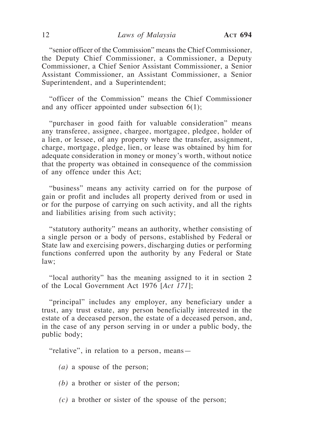"senior officer of the Commission" means the Chief Commissioner, the Deputy Chief Commissioner, a Commissioner, a Deputy Commissioner, a Chief Senior Assistant Commissioner, a Senior Assistant Commissioner, an Assistant Commissioner, a Senior Superintendent, and a Superintendent;

"officer of the Commission" means the Chief Commissioner and any officer appointed under subsection 6(1);

"purchaser in good faith for valuable consideration" means any transferee, assignee, chargee, mortgagee, pledgee, holder of a lien, or lessee, of any property where the transfer, assignment, charge, mortgage, pledge, lien, or lease was obtained by him for adequate consideration in money or money's worth, without notice that the property was obtained in consequence of the commission of any offence under this Act;

"business" means any activity carried on for the purpose of gain or profit and includes all property derived from or used in or for the purpose of carrying on such activity, and all the rights and liabilities arising from such activity;

"statutory authority" means an authority, whether consisting of a single person or a body of persons, established by Federal or State law and exercising powers, discharging duties or performing functions conferred upon the authority by any Federal or State law;

"local authority" has the meaning assigned to it in section 2 of the Local Government Act 1976 [*Act 171*];

"principal" includes any employer, any beneficiary under a trust, any trust estate, any person beneficially interested in the estate of a deceased person, the estate of a deceased person, and, in the case of any person serving in or under a public body, the public body;

"relative", in relation to a person, means—

*(a)* a spouse of the person;

*(b)* a brother or sister of the person;

*(c)* a brother or sister of the spouse of the person;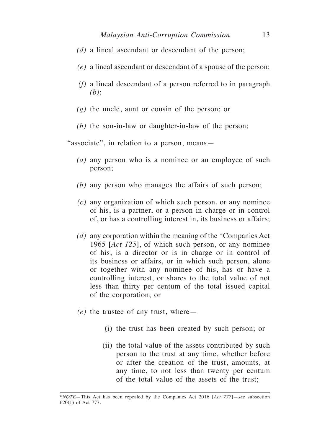- *(d)* a lineal ascendant or descendant of the person;
- *(e)* a lineal ascendant or descendant of a spouse of the person;
- *(f)* a lineal descendant of a person referred to in paragraph *(b)*;
- *(g)* the uncle, aunt or cousin of the person; or
- *(h)* the son-in-law or daughter-in-law of the person;

"associate", in relation to a person, means-

- *(a)* any person who is a nominee or an employee of such person;
- *(b)* any person who manages the affairs of such person;
- *(c)* any organization of which such person, or any nominee of his, is a partner, or a person in charge or in control of, or has a controlling interest in, its business or affairs;
- *(d)* any corporation within the meaning of the \*Companies Act 1965 [*Act 125*], of which such person, or any nominee of his, is a director or is in charge or in control of its business or affairs, or in which such person, alone or together with any nominee of his, has or have a controlling interest, or shares to the total value of not less than thirty per centum of the total issued capital of the corporation; or
- *(e)* the trustee of any trust, where—
	- (i) the trust has been created by such person; or
	- (ii) the total value of the assets contributed by such person to the trust at any time, whether before or after the creation of the trust, amounts, at any time, to not less than twenty per centum of the total value of the assets of the trust;

<sup>\*</sup>*NOTE*—This Act has been repealed by the Companies Act 2016 [*Act 777*]—*see* subsection 620(1) of Act 777.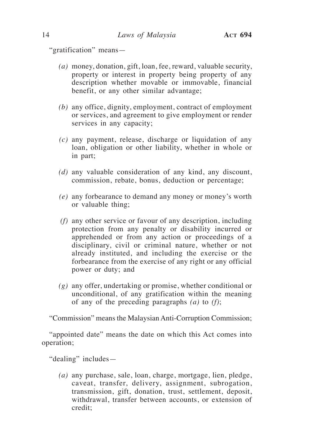"gratification" means—

- *(a)* money, donation, gift, loan, fee, reward, valuable security, property or interest in property being property of any description whether movable or immovable, financial benefit, or any other similar advantage;
- *(b)* any office, dignity, employment, contract of employment or services, and agreement to give employment or render services in any capacity;
- *(c)* any payment, release, discharge or liquidation of any loan, obligation or other liability, whether in whole or in part;
- *(d)* any valuable consideration of any kind, any discount, commission, rebate, bonus, deduction or percentage;
- *(e)* any forbearance to demand any money or money's worth or valuable thing;
- *(f)* any other service or favour of any description, including protection from any penalty or disability incurred or apprehended or from any action or proceedings of a disciplinary, civil or criminal nature, whether or not already instituted, and including the exercise or the forbearance from the exercise of any right or any official power or duty; and
- *(g)* any offer, undertaking or promise, whether conditional or unconditional, of any gratification within the meaning of any of the preceding paragraphs *(a)* to *(f)*;

"Commission" means the Malaysian Anti-Corruption Commission;

"appointed date" means the date on which this Act comes into operation;

"dealing" includes—

*(a)* any purchase, sale, loan, charge, mortgage, lien, pledge, caveat, transfer, delivery, assignment, subrogation, transmission, gift, donation, trust, settlement, deposit, withdrawal, transfer between accounts, or extension of credit;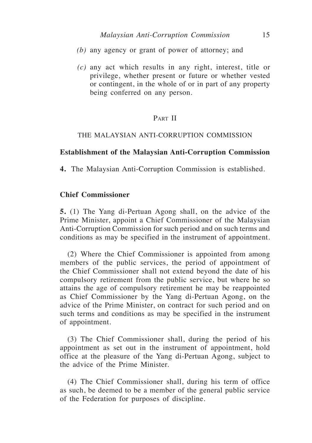- *(b)* any agency or grant of power of attorney; and
- *(c)* any act which results in any right, interest, title or privilege, whether present or future or whether vested or contingent, in the whole of or in part of any property being conferred on any person.

## PART II

#### THE MALAYSIAN ANTI-CORRUPTION COMMISSION

#### **Establishment of the Malaysian Anti-Corruption Commission**

**4.** The Malaysian Anti-Corruption Commission is established.

## **Chief Commissioner**

**5.** (1) The Yang di-Pertuan Agong shall, on the advice of the Prime Minister, appoint a Chief Commissioner of the Malaysian Anti-Corruption Commission for such period and on such terms and conditions as may be specified in the instrument of appointment.

(2) Where the Chief Commissioner is appointed from among members of the public services, the period of appointment of the Chief Commissioner shall not extend beyond the date of his compulsory retirement from the public service, but where he so attains the age of compulsory retirement he may be reappointed as Chief Commissioner by the Yang di-Pertuan Agong, on the advice of the Prime Minister, on contract for such period and on such terms and conditions as may be specified in the instrument of appointment.

(3) The Chief Commissioner shall, during the period of his appointment as set out in the instrument of appointment, hold office at the pleasure of the Yang di-Pertuan Agong, subject to the advice of the Prime Minister.

(4) The Chief Commissioner shall, during his term of office as such, be deemed to be a member of the general public service of the Federation for purposes of discipline.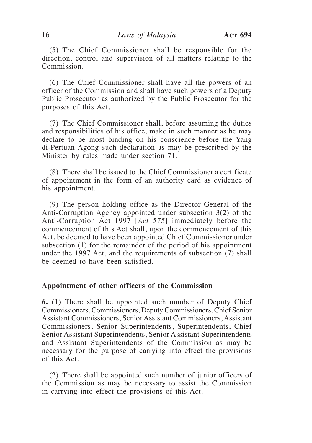(5) The Chief Commissioner shall be responsible for the direction, control and supervision of all matters relating to the Commission.

(6) The Chief Commissioner shall have all the powers of an officer of the Commission and shall have such powers of a Deputy Public Prosecutor as authorized by the Public Prosecutor for the purposes of this Act.

(7) The Chief Commissioner shall, before assuming the duties and responsibilities of his office, make in such manner as he may declare to be most binding on his conscience before the Yang di-Pertuan Agong such declaration as may be prescribed by the Minister by rules made under section 71.

(8) There shall be issued to the Chief Commissioner a certificate of appointment in the form of an authority card as evidence of his appointment.

(9) The person holding office as the Director General of the Anti-Corruption Agency appointed under subsection 3(2) of the Anti-Corruption Act 1997 [*Act 575*] immediately before the commencement of this Act shall, upon the commencement of this Act, be deemed to have been appointed Chief Commissioner under subsection (1) for the remainder of the period of his appointment under the 1997 Act, and the requirements of subsection (7) shall be deemed to have been satisfied.

## **Appointment of other officers of the Commission**

**6.** (1) There shall be appointed such number of Deputy Chief Commissioners, Commissioners, Deputy Commissioners, Chief Senior Assistant Commissioners, Senior Assistant Commissioners, Assistant Commissioners, Senior Superintendents, Superintendents, Chief Senior Assistant Superintendents, Senior Assistant Superintendents and Assistant Superintendents of the Commission as may be necessary for the purpose of carrying into effect the provisions of this Act.

(2) There shall be appointed such number of junior officers of the Commission as may be necessary to assist the Commission in carrying into effect the provisions of this Act.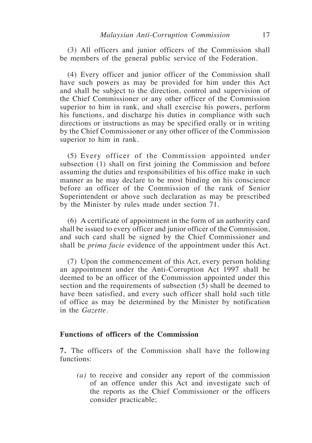(3) All officers and junior officers of the Commission shall be members of the general public service of the Federation.

(4) Every officer and junior officer of the Commission shall have such powers as may be provided for him under this Act and shall be subject to the direction, control and supervision of the Chief Commissioner or any other officer of the Commission superior to him in rank, and shall exercise his powers, perform his functions, and discharge his duties in compliance with such directions or instructions as may be specified orally or in writing by the Chief Commissioner or any other officer of the Commission superior to him in rank.

(5) Every officer of the Commission appointed under subsection (1) shall on first joining the Commission and before assuming the duties and responsibilities of his office make in such manner as he may declare to be most binding on his conscience before an officer of the Commission of the rank of Senior Superintendent or above such declaration as may be prescribed by the Minister by rules made under section 71.

(6) A certificate of appointment in the form of an authority card shall be issued to every officer and junior officer of the Commission, and such card shall be signed by the Chief Commissioner and shall be *prima facie* evidence of the appointment under this Act.

(7) Upon the commencement of this Act, every person holding an appointment under the Anti-Corruption Act 1997 shall be deemed to be an officer of the Commission appointed under this section and the requirements of subsection (5) shall be deemed to have been satisfied, and every such officer shall hold such title of office as may be determined by the Minister by notification in the *Gazette*.

## **Functions of officers of the Commission**

**7.** The officers of the Commission shall have the following functions:

*(a)* to receive and consider any report of the commission of an offence under this Act and investigate such of the reports as the Chief Commissioner or the officers consider practicable;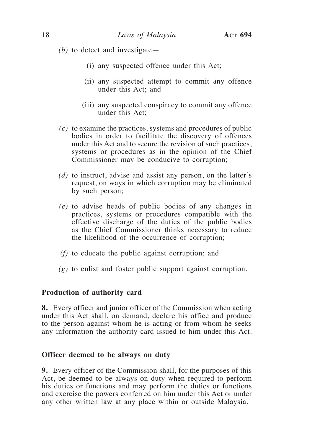- *(b)* to detect and investigate—
	- (i) any suspected offence under this Act;
	- (ii) any suspected attempt to commit any offence under this Act; and
	- (iii) any suspected conspiracy to commit any offence under this Act;
- *(c)* to examine the practices, systems and procedures of public bodies in order to facilitate the discovery of offences under this Act and to secure the revision of such practices, systems or procedures as in the opinion of the Chief Commissioner may be conducive to corruption;
- *(d)* to instruct, advise and assist any person, on the latter's request, on ways in which corruption may be eliminated by such person;
- *(e)* to advise heads of public bodies of any changes in practices, systems or procedures compatible with the effective discharge of the duties of the public bodies as the Chief Commissioner thinks necessary to reduce the likelihood of the occurrence of corruption;
- *(f)* to educate the public against corruption; and
- *(g)* to enlist and foster public support against corruption.

#### **Production of authority card**

**8.** Every officer and junior officer of the Commission when acting under this Act shall, on demand, declare his office and produce to the person against whom he is acting or from whom he seeks any information the authority card issued to him under this Act.

#### **Officer deemed to be always on duty**

**9.** Every officer of the Commission shall, for the purposes of this Act, be deemed to be always on duty when required to perform his duties or functions and may perform the duties or functions and exercise the powers conferred on him under this Act or under any other written law at any place within or outside Malaysia.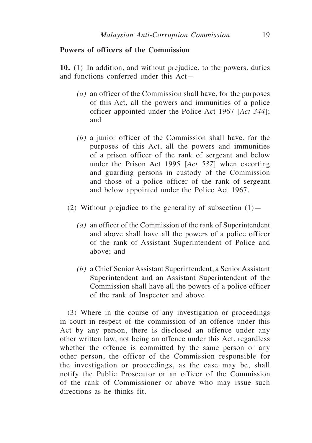## **Powers of officers of the Commission**

**10.** (1) In addition, and without prejudice, to the powers, duties and functions conferred under this Act—

- *(a)* an officer of the Commission shall have, for the purposes of this Act, all the powers and immunities of a police officer appointed under the Police Act 1967 [*Act 344*]; and
- *(b)* a junior officer of the Commission shall have, for the purposes of this Act, all the powers and immunities of a prison officer of the rank of sergeant and below under the Prison Act 1995 [*Act 537*] when escorting and guarding persons in custody of the Commission and those of a police officer of the rank of sergeant and below appointed under the Police Act 1967.
- (2) Without prejudice to the generality of subsection  $(1)$ 
	- *(a)* an officer of the Commission of the rank of Superintendent and above shall have all the powers of a police officer of the rank of Assistant Superintendent of Police and above; and
	- *(b)* a Chief Senior Assistant Superintendent, a Senior Assistant Superintendent and an Assistant Superintendent of the Commission shall have all the powers of a police officer of the rank of Inspector and above.

(3) Where in the course of any investigation or proceedings in court in respect of the commission of an offence under this Act by any person, there is disclosed an offence under any other written law, not being an offence under this Act, regardless whether the offence is committed by the same person or any other person, the officer of the Commission responsible for the investigation or proceedings, as the case may be, shall notify the Public Prosecutor or an officer of the Commission of the rank of Commissioner or above who may issue such directions as he thinks fit.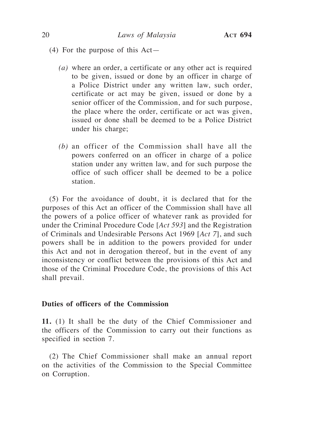- (4) For the purpose of this Act—
	- *(a)* where an order, a certificate or any other act is required to be given, issued or done by an officer in charge of a Police District under any written law, such order, certificate or act may be given, issued or done by a senior officer of the Commission, and for such purpose, the place where the order, certificate or act was given, issued or done shall be deemed to be a Police District under his charge;
	- *(b)* an officer of the Commission shall have all the powers conferred on an officer in charge of a police station under any written law, and for such purpose the office of such officer shall be deemed to be a police station.

(5) For the avoidance of doubt, it is declared that for the purposes of this Act an officer of the Commission shall have all the powers of a police officer of whatever rank as provided for under the Criminal Procedure Code [*Act 593*] and the Registration of Criminals and Undesirable Persons Act 1969 [*Act 7*], and such powers shall be in addition to the powers provided for under this Act and not in derogation thereof, but in the event of any inconsistency or conflict between the provisions of this Act and those of the Criminal Procedure Code, the provisions of this Act shall prevail.

## **Duties of officers of the Commission**

**11.** (1) It shall be the duty of the Chief Commissioner and the officers of the Commission to carry out their functions as specified in section 7.

(2) The Chief Commissioner shall make an annual report on the activities of the Commission to the Special Committee on Corruption.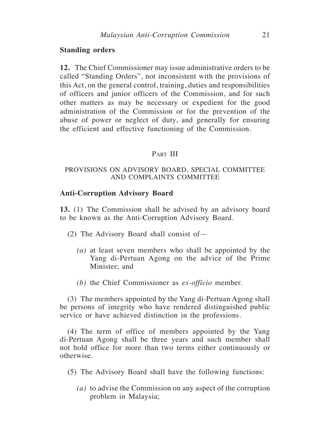#### **Standing orders**

**12.** The Chief Commissioner may issue administrative orders to be called "Standing Orders", not inconsistent with the provisions of this Act, on the general control, training, duties and responsibilities of officers and junior officers of the Commission, and for such other matters as may be necessary or expedient for the good administration of the Commission or for the prevention of the abuse of power or neglect of duty, and generally for ensuring the efficient and effective functioning of the Commission.

## PART III

## PROVISIONS ON ADVISORY BOARD, SPECIAL COMMITTEE AND COMPLAINTS COMMITTEE

#### **Anti-Corruption Advisory Board**

**13.** (1) The Commission shall be advised by an advisory board to be known as the Anti-Corruption Advisory Board.

- (2) The Advisory Board shall consist of—
	- *(a)* at least seven members who shall be appointed by the Yang di-Pertuan Agong on the advice of the Prime Minister; and
	- *(b)* the Chief Commissioner as *ex-officio* member.

(3) The members appointed by the Yang di-Pertuan Agong shall be persons of integrity who have rendered distinguished public service or have achieved distinction in the professions.

(4) The term of office of members appointed by the Yang di-Pertuan Agong shall be three years and such member shall not hold office for more than two terms either continuously or otherwise.

- (5) The Advisory Board shall have the following functions:
	- *(a)* to advise the Commission on any aspect of the corruption problem in Malaysia;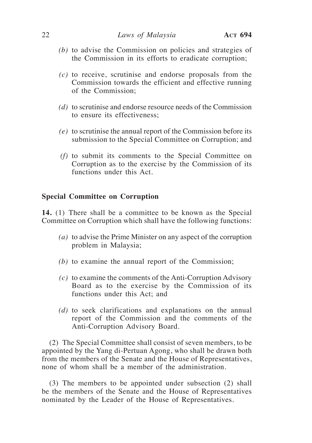- *(b)* to advise the Commission on policies and strategies of the Commission in its efforts to eradicate corruption;
- *(c)* to receive, scrutinise and endorse proposals from the Commission towards the efficient and effective running of the Commission;
- *(d)* to scrutinise and endorse resource needs of the Commission to ensure its effectiveness;
- *(e)* to scrutinise the annual report of the Commission before its submission to the Special Committee on Corruption; and
- *(f)* to submit its comments to the Special Committee on Corruption as to the exercise by the Commission of its functions under this Act.

#### **Special Committee on Corruption**

**14.** (1) There shall be a committee to be known as the Special Committee on Corruption which shall have the following functions:

- *(a)* to advise the Prime Minister on any aspect of the corruption problem in Malaysia;
- *(b)* to examine the annual report of the Commission;
- *(c)* to examine the comments of the Anti-Corruption Advisory Board as to the exercise by the Commission of its functions under this Act; and
- *(d)* to seek clarifications and explanations on the annual report of the Commission and the comments of the Anti-Corruption Advisory Board.

(2) The Special Committee shall consist of seven members, to be appointed by the Yang di-Pertuan Agong, who shall be drawn both from the members of the Senate and the House of Representatives, none of whom shall be a member of the administration.

(3) The members to be appointed under subsection (2) shall be the members of the Senate and the House of Representatives nominated by the Leader of the House of Representatives.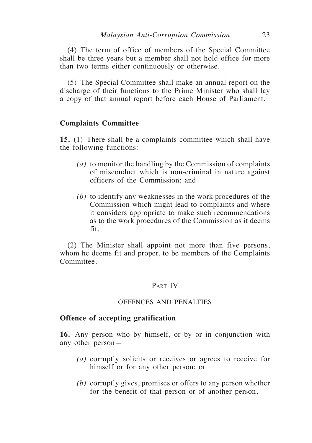(4) The term of office of members of the Special Committee shall be three years but a member shall not hold office for more than two terms either continuously or otherwise.

(5) The Special Committee shall make an annual report on the discharge of their functions to the Prime Minister who shall lay a copy of that annual report before each House of Parliament.

## **Complaints Committee**

**15.** (1) There shall be a complaints committee which shall have the following functions:

- *(a)* to monitor the handling by the Commission of complaints of misconduct which is non-criminal in nature against officers of the Commission; and
- *(b)* to identify any weaknesses in the work procedures of the Commission which might lead to complaints and where it considers appropriate to make such recommendations as to the work procedures of the Commission as it deems fit.

(2) The Minister shall appoint not more than five persons, whom he deems fit and proper, to be members of the Complaints Committee.

## PART IV

## OFFENCES AND PENALTIES

#### **Offence of accepting gratification**

**16.** Any person who by himself, or by or in conjunction with any other person—

- *(a)* corruptly solicits or receives or agrees to receive for himself or for any other person; or
- *(b)* corruptly gives, promises or offers to any person whether for the benefit of that person or of another person,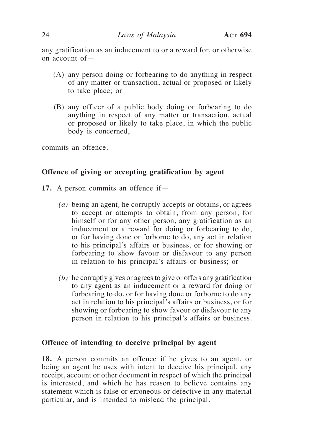any gratification as an inducement to or a reward for, or otherwise on account of—

- (A) any person doing or forbearing to do anything in respect of any matter or transaction, actual or proposed or likely to take place; or
- (B) any officer of a public body doing or forbearing to do anything in respect of any matter or transaction, actual or proposed or likely to take place, in which the public body is concerned,

commits an offence.

## **Offence of giving or accepting gratification by agent**

- **17.** A person commits an offence if—
	- *(a)* being an agent*,* he corruptly accepts or obtains, or agrees to accept or attempts to obtain, from any person, for himself or for any other person, any gratification as an inducement or a reward for doing or forbearing to do, or for having done or forborne to do, any act in relation to his principal's affairs or business, or for showing or forbearing to show favour or disfavour to any person in relation to his principal's affairs or business; or
	- *(b)* he corruptly gives or agrees to give or offers any gratification to any agent as an inducement or a reward for doing or forbearing to do, or for having done or forborne to do any act in relation to his principal's affairs or business, or for showing or forbearing to show favour or disfavour to any person in relation to his principal's affairs or business.

## **Offence of intending to deceive principal by agent**

**18.** A person commits an offence if he gives to an agent, or being an agent he uses with intent to deceive his principal, any receipt, account or other document in respect of which the principal is interested, and which he has reason to believe contains any statement which is false or erroneous or defective in any material particular, and is intended to mislead the principal.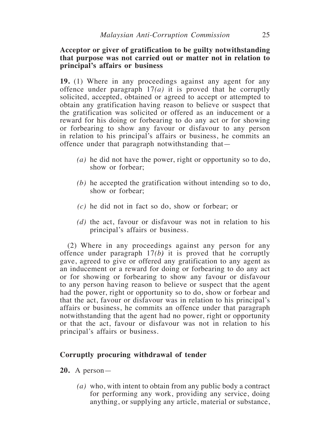## **Acceptor or giver of gratification to be guilty notwithstanding that purpose was not carried out or matter not in relation to principal's affairs or business**

**19.** (1) Where in any proceedings against any agent for any offence under paragraph 17*(a)* it is proved that he corruptly solicited, accepted, obtained or agreed to accept or attempted to obtain any gratification having reason to believe or suspect that the gratification was solicited or offered as an inducement or a reward for his doing or forbearing to do any act or for showing or forbearing to show any favour or disfavour to any person in relation to his principal's affairs or business, he commits an offence under that paragraph notwithstanding that—

- *(a)* he did not have the power, right or opportunity so to do, show or forbear;
- *(b)* he accepted the gratification without intending so to do, show or forbear;
- *(c)* he did not in fact so do, show or forbear; or
- *(d)* the act, favour or disfavour was not in relation to his principal's affairs or business.

(2) Where in any proceedings against any person for any offence under paragraph 17*(b)* it is proved that he corruptly gave, agreed to give or offered any gratification to any agent as an inducement or a reward for doing or forbearing to do any act or for showing or forbearing to show any favour or disfavour to any person having reason to believe or suspect that the agent had the power, right or opportunity so to do, show or forbear and that the act, favour or disfavour was in relation to his principal's affairs or business, he commits an offence under that paragraph notwithstanding that the agent had no power, right or opportunity or that the act, favour or disfavour was not in relation to his principal's affairs or business.

## **Corruptly procuring withdrawal of tender**

## **20.** A person—

*(a)* who, with intent to obtain from any public body a contract for performing any work, providing any service, doing anything, or supplying any article, material or substance,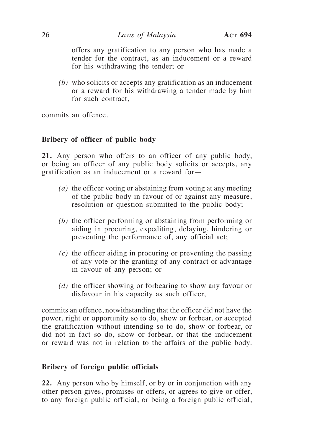offers any gratification to any person who has made a tender for the contract, as an inducement or a reward for his withdrawing the tender; or

*(b)* who solicits or accepts any gratification as an inducement or a reward for his withdrawing a tender made by him for such contract,

commits an offence.

# **Bribery of officer of public body**

**21.** Any person who offers to an officer of any public body, or being an officer of any public body solicits or accepts, any gratification as an inducement or a reward for—

- *(a)* the officer voting or abstaining from voting at any meeting of the public body in favour of or against any measure, resolution or question submitted to the public body;
- *(b)* the officer performing or abstaining from performing or aiding in procuring, expediting, delaying, hindering or preventing the performance of, any official act;
- *(c)* the officer aiding in procuring or preventing the passing of any vote or the granting of any contract or advantage in favour of any person; or
- *(d)* the officer showing or forbearing to show any favour or disfavour in his capacity as such officer,

commits an offence, notwithstanding that the officer did not have the power, right or opportunity so to do, show or forbear, or accepted the gratification without intending so to do, show or forbear, or did not in fact so do, show or forbear, or that the inducement or reward was not in relation to the affairs of the public body.

## **Bribery of foreign public officials**

**22.** Any person who by himself, or by or in conjunction with any other person gives, promises or offers, or agrees to give or offer, to any foreign public official, or being a foreign public official,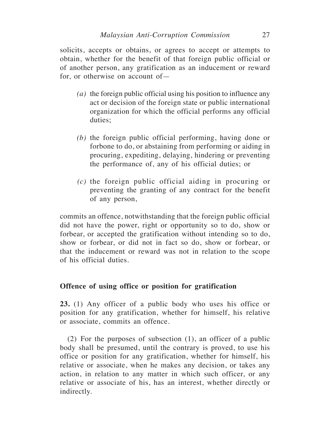solicits, accepts or obtains, or agrees to accept or attempts to obtain, whether for the benefit of that foreign public official or of another person, any gratification as an inducement or reward for, or otherwise on account of—

- *(a)* the foreign public official using his position to influence any act or decision of the foreign state or public international organization for which the official performs any official duties:
- *(b)* the foreign public official performing, having done or forbone to do, or abstaining from performing or aiding in procuring, expediting, delaying, hindering or preventing the performance of, any of his official duties; or
- *(c)* the foreign public official aiding in procuring or preventing the granting of any contract for the benefit of any person,

commits an offence, notwithstanding that the foreign public official did not have the power, right or opportunity so to do, show or forbear, or accepted the gratification without intending so to do, show or forbear, or did not in fact so do, show or forbear, or that the inducement or reward was not in relation to the scope of his official duties.

## **Offence of using office or position for gratification**

**23.** (1) Any officer of a public body who uses his office or position for any gratification, whether for himself, his relative or associate, commits an offence.

(2) For the purposes of subsection (1), an officer of a public body shall be presumed, until the contrary is proved, to use his office or position for any gratification, whether for himself, his relative or associate, when he makes any decision, or takes any action, in relation to any matter in which such officer, or any relative or associate of his, has an interest, whether directly or indirectly.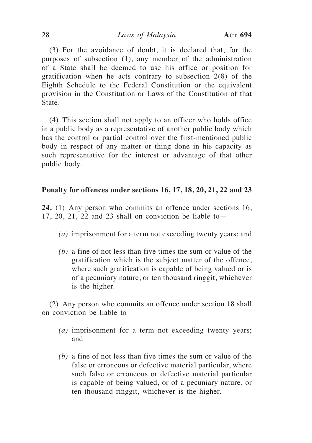(3) For the avoidance of doubt, it is declared that, for the purposes of subsection (1), any member of the administration of a State shall be deemed to use his office or position for gratification when he acts contrary to subsection 2(8) of the Eighth Schedule to the Federal Constitution or the equivalent provision in the Constitution or Laws of the Constitution of that State.

(4) This section shall not apply to an officer who holds office in a public body as a representative of another public body which has the control or partial control over the first-mentioned public body in respect of any matter or thing done in his capacity as such representative for the interest or advantage of that other public body.

## **Penalty for offences under sections 16, 17, 18, 20, 21, 22 and 23**

**24.** (1) Any person who commits an offence under sections 16, 17, 20, 21, 22 and 23 shall on conviction be liable to  $-$ 

- *(a)* imprisonment for a term not exceeding twenty years; and
- *(b)* a fine of not less than five times the sum or value of the gratification which is the subject matter of the offence, where such gratification is capable of being valued or is of a pecuniary nature, or ten thousand ringgit, whichever is the higher.

(2) Any person who commits an offence under section 18 shall on conviction be liable to—

- *(a)* imprisonment for a term not exceeding twenty years; and
- *(b)* a fine of not less than five times the sum or value of the false or erroneous or defective material particular, where such false or erroneous or defective material particular is capable of being valued, or of a pecuniary nature, or ten thousand ringgit, whichever is the higher.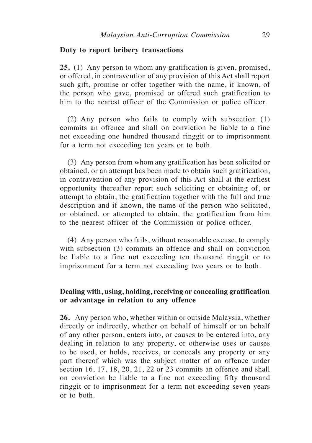#### **Duty to report bribery transactions**

**25.** (1) Any person to whom any gratification is given, promised, or offered, in contravention of any provision of this Act shall report such gift, promise or offer together with the name, if known, of the person who gave, promised or offered such gratification to him to the nearest officer of the Commission or police officer.

(2) Any person who fails to comply with subsection (1) commits an offence and shall on conviction be liable to a fine not exceeding one hundred thousand ringgit or to imprisonment for a term not exceeding ten years or to both.

(3) Any person from whom any gratification has been solicited or obtained, or an attempt has been made to obtain such gratification, in contravention of any provision of this Act shall at the earliest opportunity thereafter report such soliciting or obtaining of, or attempt to obtain, the gratification together with the full and true description and if known, the name of the person who solicited, or obtained, or attempted to obtain, the gratification from him to the nearest officer of the Commission or police officer.

(4) Any person who fails, without reasonable excuse, to comply with subsection (3) commits an offence and shall on conviction be liable to a fine not exceeding ten thousand ringgit or to imprisonment for a term not exceeding two years or to both.

# **Dealing with, using, holding, receiving or concealing gratification or advantage in relation to any offence**

**26.** Any person who, whether within or outside Malaysia, whether directly or indirectly, whether on behalf of himself or on behalf of any other person, enters into, or causes to be entered into, any dealing in relation to any property, or otherwise uses or causes to be used, or holds, receives, or conceals any property or any part thereof which was the subject matter of an offence under section 16, 17, 18, 20, 21, 22 or 23 commits an offence and shall on conviction be liable to a fine not exceeding fifty thousand ringgit or to imprisonment for a term not exceeding seven years or to both.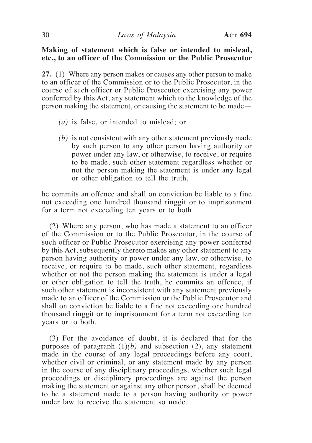## **Making of statement which is false or intended to mislead, etc., to an officer of the Commission or the Public Prosecutor**

**27.** (1) Where any person makes or causes any other person to make to an officer of the Commission or to the Public Prosecutor, in the course of such officer or Public Prosecutor exercising any power conferred by this Act, any statement which to the knowledge of the person making the statement, or causing the statement to be made—

- *(a)* is false, or intended to mislead; or
- *(b)* is not consistent with any other statement previously made by such person to any other person having authority or power under any law, or otherwise, to receive, or require to be made, such other statement regardless whether or not the person making the statement is under any legal or other obligation to tell the truth,

he commits an offence and shall on conviction be liable to a fine not exceeding one hundred thousand ringgit or to imprisonment for a term not exceeding ten years or to both.

(2) Where any person, who has made a statement to an officer of the Commission or to the Public Prosecutor, in the course of such officer or Public Prosecutor exercising any power conferred by this Act, subsequently thereto makes any other statement to any person having authority or power under any law, or otherwise, to receive, or require to be made, such other statement, regardless whether or not the person making the statement is under a legal or other obligation to tell the truth, he commits an offence, if such other statement is inconsistent with any statement previously made to an officer of the Commission or the Public Prosecutor and shall on conviction be liable to a fine not exceeding one hundred thousand ringgit or to imprisonment for a term not exceeding ten years or to both.

(3) For the avoidance of doubt, it is declared that for the purposes of paragraph  $(1)(b)$  and subsection  $(2)$ , any statement made in the course of any legal proceedings before any court, whether civil or criminal, or any statement made by any person in the course of any disciplinary proceedings, whether such legal proceedings or disciplinary proceedings are against the person making the statement or against any other person, shall be deemed to be a statement made to a person having authority or power under law to receive the statement so made.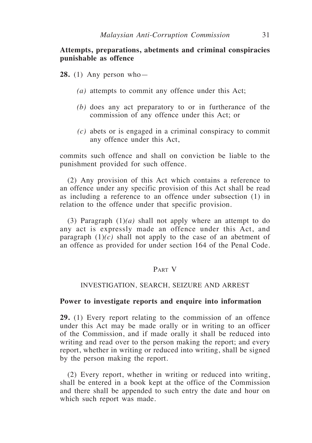## **Attempts, preparations, abetments and criminal conspiracies punishable as offence**

**28.** (1) Any person who—

- *(a)* attempts to commit any offence under this Act;
- *(b)* does any act preparatory to or in furtherance of the commission of any offence under this Act; or
- *(c)* abets or is engaged in a criminal conspiracy to commit any offence under this Act,

commits such offence and shall on conviction be liable to the punishment provided for such offence.

(2) Any provision of this Act which contains a reference to an offence under any specific provision of this Act shall be read as including a reference to an offence under subsection (1) in relation to the offence under that specific provision.

(3) Paragraph (1)*(a)* shall not apply where an attempt to do any act is expressly made an offence under this Act, and paragraph  $(1)(c)$  shall not apply to the case of an abetment of an offence as provided for under section 164 of the Penal Code.

## Part V

## INVESTIGATION, SEARCH, SEIZURE AND ARREST

## **Power to investigate reports and enquire into information**

**29.** (1) Every report relating to the commission of an offence under this Act may be made orally or in writing to an officer of the Commission, and if made orally it shall be reduced into writing and read over to the person making the report; and every report, whether in writing or reduced into writing, shall be signed by the person making the report.

(2) Every report, whether in writing or reduced into writing, shall be entered in a book kept at the office of the Commission and there shall be appended to such entry the date and hour on which such report was made.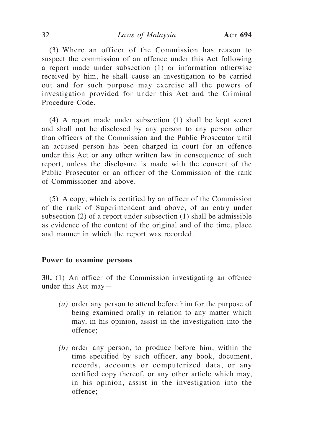#### 32 *Laws of Malaysia* **Act 694**

(3) Where an officer of the Commission has reason to suspect the commission of an offence under this Act following a report made under subsection (1) or information otherwise received by him, he shall cause an investigation to be carried out and for such purpose may exercise all the powers of investigation provided for under this Act and the Criminal Procedure Code.

(4) A report made under subsection (1) shall be kept secret and shall not be disclosed by any person to any person other than officers of the Commission and the Public Prosecutor until an accused person has been charged in court for an offence under this Act or any other written law in consequence of such report, unless the disclosure is made with the consent of the Public Prosecutor or an officer of the Commission of the rank of Commissioner and above.

(5) A copy, which is certified by an officer of the Commission of the rank of Superintendent and above, of an entry under subsection (2) of a report under subsection (1) shall be admissible as evidence of the content of the original and of the time, place and manner in which the report was recorded.

## **Power to examine persons**

**30.** (1) An officer of the Commission investigating an offence under this Act may—

- *(a)* order any person to attend before him for the purpose of being examined orally in relation to any matter which may, in his opinion, assist in the investigation into the offence;
- *(b)* order any person, to produce before him, within the time specified by such officer, any book, document, records, accounts or computerized data, or any certified copy thereof, or any other article which may, in his opinion, assist in the investigation into the offence;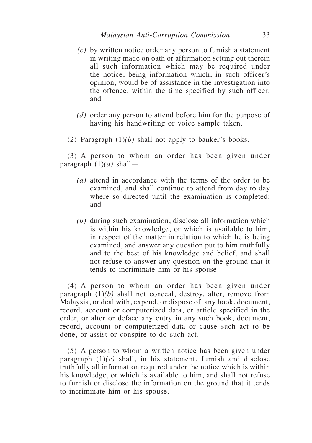- *(c)* by written notice order any person to furnish a statement in writing made on oath or affirmation setting out therein all such information which may be required under the notice, being information which, in such officer's opinion, would be of assistance in the investigation into the offence, within the time specified by such officer; and
- *(d)* order any person to attend before him for the purpose of having his handwriting or voice sample taken.
- (2) Paragraph (1)*(b)* shall not apply to banker's books.

(3) A person to whom an order has been given under paragraph (1)*(a)* shall—

- *(a)* attend in accordance with the terms of the order to be examined, and shall continue to attend from day to day where so directed until the examination is completed; and
- *(b)* during such examination, disclose all information which is within his knowledge, or which is available to him, in respect of the matter in relation to which he is being examined, and answer any question put to him truthfully and to the best of his knowledge and belief, and shall not refuse to answer any question on the ground that it tends to incriminate him or his spouse.

(4) A person to whom an order has been given under paragraph (1)*(b)* shall not conceal, destroy, alter, remove from Malaysia, or deal with, expend, or dispose of, any book, document, record, account or computerized data, or article specified in the order, or alter or deface any entry in any such book, document, record, account or computerized data or cause such act to be done, or assist or conspire to do such act.

(5) A person to whom a written notice has been given under paragraph  $(1)(c)$  shall, in his statement, furnish and disclose truthfully all information required under the notice which is within his knowledge, or which is available to him, and shall not refuse to furnish or disclose the information on the ground that it tends to incriminate him or his spouse.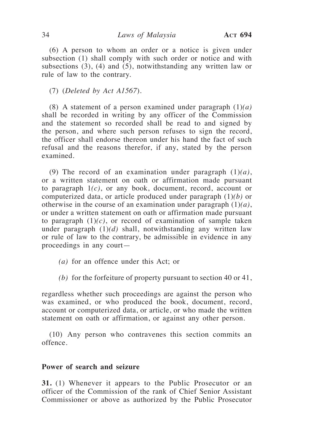(6) A person to whom an order or a notice is given under subsection (1) shall comply with such order or notice and with subsections (3), (4) and (5), notwithstanding any written law or rule of law to the contrary.

(7) (*Deleted by Act A1567*).

(8) A statement of a person examined under paragraph (1)*(a)* shall be recorded in writing by any officer of the Commission and the statement so recorded shall be read to and signed by the person, and where such person refuses to sign the record, the officer shall endorse thereon under his hand the fact of such refusal and the reasons therefor, if any, stated by the person examined.

(9) The record of an examination under paragraph (1)*(a)*, or a written statement on oath or affirmation made pursuant to paragraph 1*(c)*, or any book, document, record, account or computerized data, or article produced under paragraph (1)*(b)* or otherwise in the course of an examination under paragraph (1)*(a)*, or under a written statement on oath or affirmation made pursuant to paragraph  $(1)(c)$ , or record of examination of sample taken under paragraph (1)*(d)* shall, notwithstanding any written law or rule of law to the contrary, be admissible in evidence in any proceedings in any court—

- *(a)* for an offence under this Act; or
- *(b)* for the forfeiture of property pursuant to section 40 or 41,

regardless whether such proceedings are against the person who was examined, or who produced the book, document, record, account or computerized data, or article, or who made the written statement on oath or affirmation, or against any other person.

(10) Any person who contravenes this section commits an offence.

## **Power of search and seizure**

**31.** (1) Whenever it appears to the Public Prosecutor or an officer of the Commission of the rank of Chief Senior Assistant Commissioner or above as authorized by the Public Prosecutor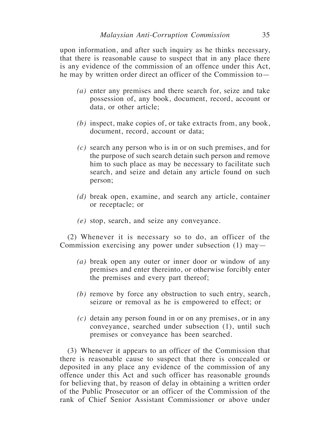upon information, and after such inquiry as he thinks necessary, that there is reasonable cause to suspect that in any place there is any evidence of the commission of an offence under this Act, he may by written order direct an officer of the Commission to—

- *(a)* enter any premises and there search for, seize and take possession of, any book, document, record, account or data, or other article;
- *(b)* inspect, make copies of, or take extracts from, any book, document, record, account or data;
- *(c)* search any person who is in or on such premises, and for the purpose of such search detain such person and remove him to such place as may be necessary to facilitate such search, and seize and detain any article found on such person;
- *(d)* break open, examine, and search any article, container or receptacle; or
- *(e)* stop, search, and seize any conveyance.

(2) Whenever it is necessary so to do, an officer of the Commission exercising any power under subsection (1) may—

- *(a)* break open any outer or inner door or window of any premises and enter thereinto, or otherwise forcibly enter the premises and every part thereof;
- *(b)* remove by force any obstruction to such entry, search, seizure or removal as he is empowered to effect; or
- *(c)* detain any person found in or on any premises, or in any conveyance, searched under subsection (1), until such premises or conveyance has been searched.

(3) Whenever it appears to an officer of the Commission that there is reasonable cause to suspect that there is concealed or deposited in any place any evidence of the commission of any offence under this Act and such officer has reasonable grounds for believing that, by reason of delay in obtaining a written order of the Public Prosecutor or an officer of the Commission of the rank of Chief Senior Assistant Commissioner or above under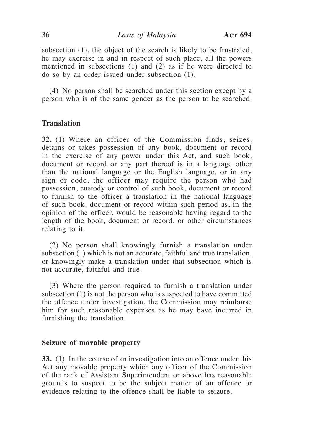subsection (1), the object of the search is likely to be frustrated, he may exercise in and in respect of such place, all the powers mentioned in subsections (1) and (2) as if he were directed to do so by an order issued under subsection (1).

(4) No person shall be searched under this section except by a person who is of the same gender as the person to be searched.

## **Translation**

**32.** (1) Where an officer of the Commission finds, seizes, detains or takes possession of any book, document or record in the exercise of any power under this Act, and such book, document or record or any part thereof is in a language other than the national language or the English language, or in any sign or code, the officer may require the person who had possession, custody or control of such book, document or record to furnish to the officer a translation in the national language of such book, document or record within such period as, in the opinion of the officer, would be reasonable having regard to the length of the book, document or record, or other circumstances relating to it.

(2) No person shall knowingly furnish a translation under subsection (1) which is not an accurate, faithful and true translation, or knowingly make a translation under that subsection which is not accurate, faithful and true.

(3) Where the person required to furnish a translation under subsection (1) is not the person who is suspected to have committed the offence under investigation, the Commission may reimburse him for such reasonable expenses as he may have incurred in furnishing the translation.

#### **Seizure of movable property**

**33.** (1) In the course of an investigation into an offence under this Act any movable property which any officer of the Commission of the rank of Assistant Superintendent or above has reasonable grounds to suspect to be the subject matter of an offence or evidence relating to the offence shall be liable to seizure.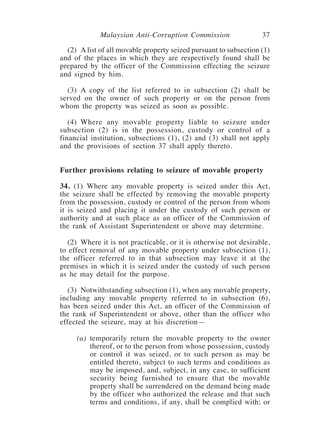(2) A list of all movable property seized pursuant to subsection (1) and of the places in which they are respectively found shall be prepared by the officer of the Commission effecting the seizure and signed by him.

(3) A copy of the list referred to in subsection (2) shall be served on the owner of such property or on the person from whom the property was seized as soon as possible.

(4) Where any movable property liable to seizure under subsection (2) is in the possession, custody or control of a financial institution, subsections (1), (2) and (3) shall not apply and the provisions of section 37 shall apply thereto.

#### **Further provisions relating to seizure of movable property**

**34.** (1) Where any movable property is seized under this Act, the seizure shall be effected by removing the movable property from the possession, custody or control of the person from whom it is seized and placing it under the custody of such person or authority and at such place as an officer of the Commission of the rank of Assistant Superintendent or above may determine.

(2) Where it is not practicable, or it is otherwise not desirable, to effect removal of any movable property under subsection (1), the officer referred to in that subsection may leave it at the premises in which it is seized under the custody of such person as he may detail for the purpose.

(3) Notwithstanding subsection (1), when any movable property, including any movable property referred to in subsection (6), has been seized under this Act, an officer of the Commission of the rank of Superintendent or above, other than the officer who effected the seizure, may at his discretion—

*(a)* temporarily return the movable property to the owner thereof, or to the person from whose possession, custody or control it was seized, or to such person as may be entitled thereto, subject to such terms and conditions as may be imposed, and, subject, in any case, to sufficient security being furnished to ensure that the movable property shall be surrendered on the demand being made by the officer who authorized the release and that such terms and conditions, if any, shall be complied with; or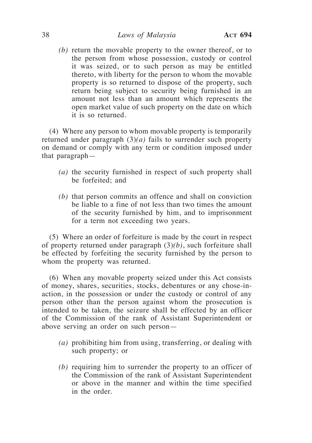*(b)* return the movable property to the owner thereof, or to the person from whose possession, custody or control it was seized, or to such person as may be entitled thereto, with liberty for the person to whom the movable property is so returned to dispose of the property, such return being subject to security being furnished in an amount not less than an amount which represents the open market value of such property on the date on which it is so returned.

(4) Where any person to whom movable property is temporarily returned under paragraph (3)*(a)* fails to surrender such property on demand or comply with any term or condition imposed under that paragraph—

- *(a)* the security furnished in respect of such property shall be forfeited; and
- *(b)* that person commits an offence and shall on conviction be liable to a fine of not less than two times the amount of the security furnished by him, and to imprisonment for a term not exceeding two years.

(5) Where an order of forfeiture is made by the court in respect of property returned under paragraph (3)*(b)*, such forfeiture shall be effected by forfeiting the security furnished by the person to whom the property was returned.

(6) When any movable property seized under this Act consists of money, shares, securities, stocks, debentures or any chose-inaction, in the possession or under the custody or control of any person other than the person against whom the prosecution is intended to be taken, the seizure shall be effected by an officer of the Commission of the rank of Assistant Superintendent or above serving an order on such person—

- *(a)* prohibiting him from using, transferring, or dealing with such property; or
- *(b)* requiring him to surrender the property to an officer of the Commission of the rank of Assistant Superintendent or above in the manner and within the time specified in the order.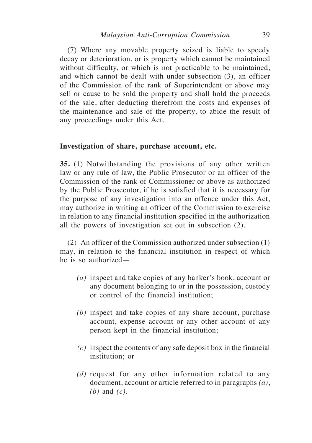(7) Where any movable property seized is liable to speedy decay or deterioration, or is property which cannot be maintained without difficulty, or which is not practicable to be maintained, and which cannot be dealt with under subsection (3), an officer of the Commission of the rank of Superintendent or above may sell or cause to be sold the property and shall hold the proceeds of the sale, after deducting therefrom the costs and expenses of the maintenance and sale of the property, to abide the result of any proceedings under this Act.

## **Investigation of share, purchase account, etc.**

**35.** (1) Notwithstanding the provisions of any other written law or any rule of law, the Public Prosecutor or an officer of the Commission of the rank of Commissioner or above as authorized by the Public Prosecutor, if he is satisfied that it is necessary for the purpose of any investigation into an offence under this Act, may authorize in writing an officer of the Commission to exercise in relation to any financial institution specified in the authorization all the powers of investigation set out in subsection (2).

(2) An officer of the Commission authorized under subsection (1) may, in relation to the financial institution in respect of which he is so authorized—

- *(a)* inspect and take copies of any banker's book, account or any document belonging to or in the possession, custody or control of the financial institution;
- *(b)* inspect and take copies of any share account, purchase account, expense account or any other account of any person kept in the financial institution;
- *(c)* inspect the contents of any safe deposit box in the financial institution; or
- *(d)* request for any other information related to any document, account or article referred to in paragraphs *(a)*, *(b)* and *(c).*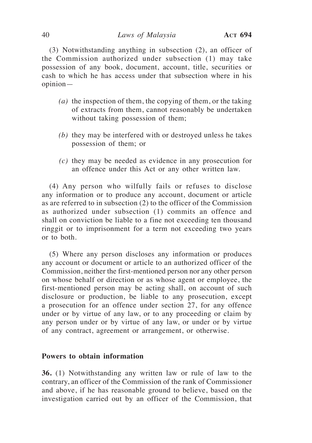(3) Notwithstanding anything in subsection (2), an officer of the Commission authorized under subsection (1) may take possession of any book, document, account, title, securities or cash to which he has access under that subsection where in his opinion—

- *(a)* the inspection of them, the copying of them, or the taking of extracts from them, cannot reasonably be undertaken without taking possession of them;
- *(b)* they may be interfered with or destroyed unless he takes possession of them; or
- *(c)* they may be needed as evidence in any prosecution for an offence under this Act or any other written law.

(4) Any person who wilfully fails or refuses to disclose any information or to produce any account, document or article as are referred to in subsection (2) to the officer of the Commission as authorized under subsection (1) commits an offence and shall on conviction be liable to a fine not exceeding ten thousand ringgit or to imprisonment for a term not exceeding two years or to both.

(5) Where any person discloses any information or produces any account or document or article to an authorized officer of the Commission, neither the first-mentioned person nor any other person on whose behalf or direction or as whose agent or employee, the first-mentioned person may be acting shall, on account of such disclosure or production, be liable to any prosecution, except a prosecution for an offence under section 27, for any offence under or by virtue of any law, or to any proceeding or claim by any person under or by virtue of any law, or under or by virtue of any contract, agreement or arrangement, or otherwise.

## **Powers to obtain information**

**36.** (1) Notwithstanding any written law or rule of law to the contrary, an officer of the Commission of the rank of Commissioner and above, if he has reasonable ground to believe, based on the investigation carried out by an officer of the Commission, that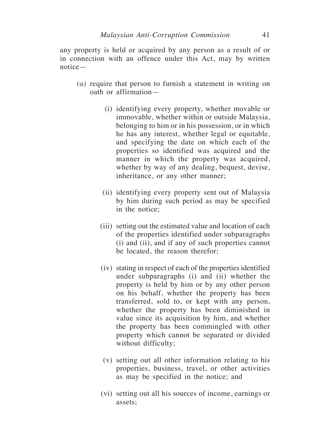any property is held or acquired by any person as a result of or in connection with an offence under this Act, may by written notice—

- *(a)* require that person to furnish a statement in writing on oath or affirmation—
	- (i) identifying every property, whether movable or immovable, whether within or outside Malaysia, belonging to him or in his possession, or in which he has any interest, whether legal or equitable, and specifying the date on which each of the properties so identified was acquired and the manner in which the property was acquired, whether by way of any dealing, bequest, devise, inheritance, or any other manner;
	- (ii) identifying every property sent out of Malaysia by him during such period as may be specified in the notice;
	- (iii) setting out the estimated value and location of each of the properties identified under subparagraphs (i) and (ii), and if any of such properties cannot be located, the reason therefor;
	- (iv) stating in respect of each of the properties identified under subparagraphs (i) and (ii) whether the property is held by him or by any other person on his behalf, whether the property has been transferred, sold to, or kept with any person, whether the property has been diminished in value since its acquisition by him, and whether the property has been commingled with other property which cannot be separated or divided without difficulty;
	- (v) setting out all other information relating to his properties, business, travel, or other activities as may be specified in the notice; and
	- (vi) setting out all his sources of income, earnings or assets;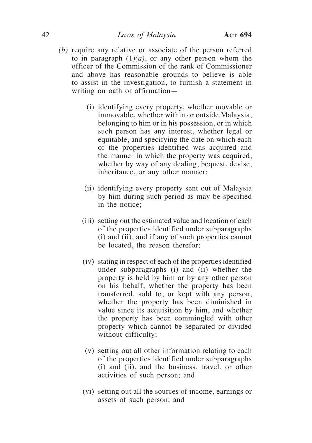- *(b)* require any relative or associate of the person referred to in paragraph  $(1)(a)$ , or any other person whom the officer of the Commission of the rank of Commissioner and above has reasonable grounds to believe is able to assist in the investigation, to furnish a statement in writing on oath or affirmation—
	- (i) identifying every property, whether movable or immovable, whether within or outside Malaysia, belonging to him or in his possession, or in which such person has any interest, whether legal or equitable, and specifying the date on which each of the properties identified was acquired and the manner in which the property was acquired, whether by way of any dealing, bequest, devise, inheritance, or any other manner;
	- (ii) identifying every property sent out of Malaysia by him during such period as may be specified in the notice;
	- (iii) setting out the estimated value and location of each of the properties identified under subparagraphs (i) and (ii), and if any of such properties cannot be located, the reason therefor;
	- (iv) stating in respect of each of the properties identified under subparagraphs (i) and (ii) whether the property is held by him or by any other person on his behalf, whether the property has been transferred, sold to, or kept with any person, whether the property has been diminished in value since its acquisition by him, and whether the property has been commingled with other property which cannot be separated or divided without difficulty;
	- (v) setting out all other information relating to each of the properties identified under subparagraphs (i) and (ii), and the business, travel, or other activities of such person; and
	- (vi) setting out all the sources of income, earnings or assets of such person; and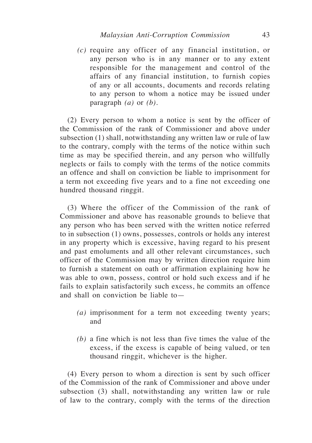*(c)* require any officer of any financial institution, or any person who is in any manner or to any extent responsible for the management and control of the affairs of any financial institution, to furnish copies of any or all accounts, documents and records relating to any person to whom a notice may be issued under paragraph *(a)* or *(b)*.

(2) Every person to whom a notice is sent by the officer of the Commission of the rank of Commissioner and above under subsection (1) shall, notwithstanding any written law or rule of law to the contrary, comply with the terms of the notice within such time as may be specified therein, and any person who willfully neglects or fails to comply with the terms of the notice commits an offence and shall on conviction be liable to imprisonment for a term not exceeding five years and to a fine not exceeding one hundred thousand ringgit.

(3) Where the officer of the Commission of the rank of Commissioner and above has reasonable grounds to believe that any person who has been served with the written notice referred to in subsection (1) owns, possesses, controls or holds any interest in any property which is excessive, having regard to his present and past emoluments and all other relevant circumstances, such officer of the Commission may by written direction require him to furnish a statement on oath or affirmation explaining how he was able to own, possess, control or hold such excess and if he fails to explain satisfactorily such excess, he commits an offence and shall on conviction be liable to—

- *(a)* imprisonment for a term not exceeding twenty years; and
- *(b)* a fine which is not less than five times the value of the excess, if the excess is capable of being valued, or ten thousand ringgit, whichever is the higher.

(4) Every person to whom a direction is sent by such officer of the Commission of the rank of Commissioner and above under subsection (3) shall, notwithstanding any written law or rule of law to the contrary, comply with the terms of the direction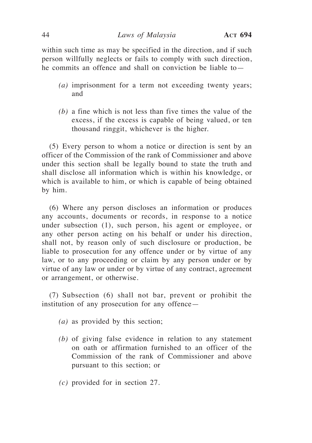within such time as may be specified in the direction, and if such person willfully neglects or fails to comply with such direction, he commits an offence and shall on conviction be liable to—

- *(a)* imprisonment for a term not exceeding twenty years; and
- *(b)* a fine which is not less than five times the value of the excess, if the excess is capable of being valued, or ten thousand ringgit, whichever is the higher.

(5) Every person to whom a notice or direction is sent by an officer of the Commission of the rank of Commissioner and above under this section shall be legally bound to state the truth and shall disclose all information which is within his knowledge, or which is available to him, or which is capable of being obtained by him.

(6) Where any person discloses an information or produces any accounts, documents or records, in response to a notice under subsection (1), such person, his agent or employee, or any other person acting on his behalf or under his direction, shall not, by reason only of such disclosure or production, be liable to prosecution for any offence under or by virtue of any law, or to any proceeding or claim by any person under or by virtue of any law or under or by virtue of any contract, agreement or arrangement, or otherwise.

(7) Subsection (6) shall not bar, prevent or prohibit the institution of any prosecution for any offence—

- *(a)* as provided by this section;
- *(b)* of giving false evidence in relation to any statement on oath or affirmation furnished to an officer of the Commission of the rank of Commissioner and above pursuant to this section; or
- *(c)* provided for in section 27.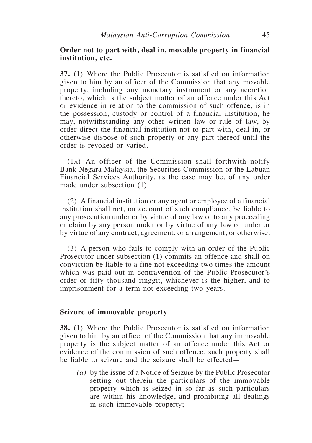## **Order not to part with, deal in, movable property in financial institution, etc.**

**37.** (1) Where the Public Prosecutor is satisfied on information given to him by an officer of the Commission that any movable property, including any monetary instrument or any accretion thereto, which is the subject matter of an offence under this Act or evidence in relation to the commission of such offence, is in the possession, custody or control of a financial institution, he may, notwithstanding any other written law or rule of law, by order direct the financial institution not to part with, deal in, or otherwise dispose of such property or any part thereof until the order is revoked or varied.

(1a) An officer of the Commission shall forthwith notify Bank Negara Malaysia, the Securities Commission or the Labuan Financial Services Authority, as the case may be, of any order made under subsection (1).

(2) A financial institution or any agent or employee of a financial institution shall not, on account of such compliance, be liable to any prosecution under or by virtue of any law or to any proceeding or claim by any person under or by virtue of any law or under or by virtue of any contract, agreement, or arrangement, or otherwise.

(3) A person who fails to comply with an order of the Public Prosecutor under subsection (1) commits an offence and shall on conviction be liable to a fine not exceeding two times the amount which was paid out in contravention of the Public Prosecutor's order or fifty thousand ringgit, whichever is the higher, and to imprisonment for a term not exceeding two years.

#### **Seizure of immovable property**

**38.** (1) Where the Public Prosecutor is satisfied on information given to him by an officer of the Commission that any immovable property is the subject matter of an offence under this Act or evidence of the commission of such offence, such property shall be liable to seizure and the seizure shall be effected—

*(a)* by the issue of a Notice of Seizure by the Public Prosecutor setting out therein the particulars of the immovable property which is seized in so far as such particulars are within his knowledge, and prohibiting all dealings in such immovable property;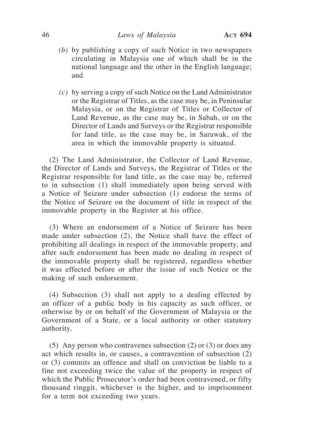- *(b)* by publishing a copy of such Notice in two newspapers circulating in Malaysia one of which shall be in the national language and the other in the English language; and
- *(c)* by serving a copy of such Notice on the Land Administrator or the Registrar of Titles, as the case may be, in Peninsular Malaysia, or on the Registrar of Titles or Collector of Land Revenue, as the case may be, in Sabah, or on the Director of Lands and Surveys or the Registrar responsible for land title, as the case may be, in Sarawak, of the area in which the immovable property is situated.

(2) The Land Administrator, the Collector of Land Revenue, the Director of Lands and Surveys, the Registrar of Titles or the Registrar responsible for land title, as the case may be, referred to in subsection (1) shall immediately upon being served with a Notice of Seizure under subsection (1) endorse the terms of the Notice of Seizure on the document of title in respect of the immovable property in the Register at his office.

(3) Where an endorsement of a Notice of Seizure has been made under subsection (2), the Notice shall have the effect of prohibiting all dealings in respect of the immovable property, and after such endorsement has been made no dealing in respect of the immovable property shall be registered, regardless whether it was effected before or after the issue of such Notice or the making of such endorsement.

(4) Subsection (3) shall not apply to a dealing effected by an officer of a public body in his capacity as such officer, or otherwise by or on behalf of the Government of Malaysia or the Government of a State, or a local authority or other statutory authority.

(5) Any person who contravenes subsection (2) or (3) or does any act which results in, or causes, a contravention of subsection (2) or (3) commits an offence and shall on conviction be liable to a fine not exceeding twice the value of the property in respect of which the Public Prosecutor's order had been contravened, or fifty thousand ringgit, whichever is the higher, and to imprisonment for a term not exceeding two years.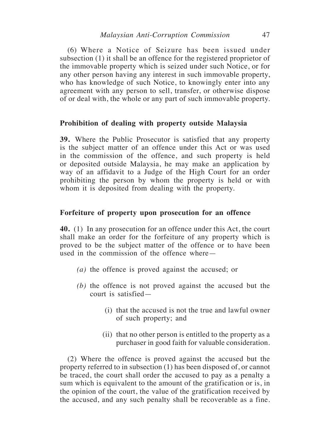(6) Where a Notice of Seizure has been issued under subsection (1) it shall be an offence for the registered proprietor of the immovable property which is seized under such Notice, or for any other person having any interest in such immovable property, who has knowledge of such Notice, to knowingly enter into any agreement with any person to sell, transfer, or otherwise dispose of or deal with, the whole or any part of such immovable property.

## **Prohibition of dealing with property outside Malaysia**

**39.** Where the Public Prosecutor is satisfied that any property is the subject matter of an offence under this Act or was used in the commission of the offence, and such property is held or deposited outside Malaysia, he may make an application by way of an affidavit to a Judge of the High Court for an order prohibiting the person by whom the property is held or with whom it is deposited from dealing with the property.

## **Forfeiture of property upon prosecution for an offence**

**40.** (1) In any prosecution for an offence under this Act, the court shall make an order for the forfeiture of any property which is proved to be the subject matter of the offence or to have been used in the commission of the offence where—

- *(a)* the offence is proved against the accused; or
- *(b)* the offence is not proved against the accused but the court is satisfied—
	- (i) that the accused is not the true and lawful owner of such property; and
	- (ii) that no other person is entitled to the property as a purchaser in good faith for valuable consideration.

(2) Where the offence is proved against the accused but the property referred to in subsection (1) has been disposed of, or cannot be traced, the court shall order the accused to pay as a penalty a sum which is equivalent to the amount of the gratification or is, in the opinion of the court, the value of the gratification received by the accused, and any such penalty shall be recoverable as a fine.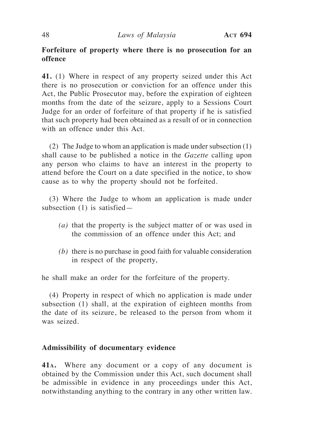# **Forfeiture of property where there is no prosecution for an offence**

**41.** (1) Where in respect of any property seized under this Act there is no prosecution or conviction for an offence under this Act, the Public Prosecutor may, before the expiration of eighteen months from the date of the seizure, apply to a Sessions Court Judge for an order of forfeiture of that property if he is satisfied that such property had been obtained as a result of or in connection with an offence under this Act.

(2) The Judge to whom an application is made under subsection (1) shall cause to be published a notice in the *Gazette* calling upon any person who claims to have an interest in the property to attend before the Court on a date specified in the notice, to show cause as to why the property should not be forfeited.

(3) Where the Judge to whom an application is made under subsection (1) is satisfied—

- *(a)* that the property is the subject matter of or was used in the commission of an offence under this Act; and
- *(b)* there is no purchase in good faith for valuable consideration in respect of the property,

he shall make an order for the forfeiture of the property.

(4) Property in respect of which no application is made under subsection (1) shall, at the expiration of eighteen months from the date of its seizure, be released to the person from whom it was seized.

## **Admissibility of documentary evidence**

**41a.** Where any document or a copy of any document is obtained by the Commission under this Act, such document shall be admissible in evidence in any proceedings under this Act, notwithstanding anything to the contrary in any other written law.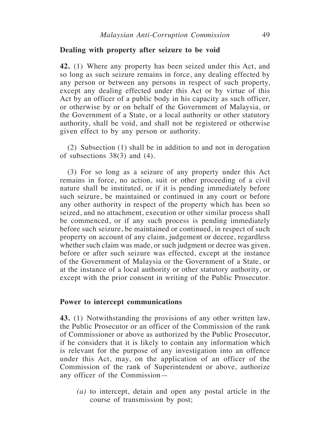#### **Dealing with property after seizure to be void**

**42.** (1) Where any property has been seized under this Act, and so long as such seizure remains in force, any dealing effected by any person or between any persons in respect of such property, except any dealing effected under this Act or by virtue of this Act by an officer of a public body in his capacity as such officer, or otherwise by or on behalf of the Government of Malaysia, or the Government of a State, or a local authority or other statutory authority, shall be void, and shall not be registered or otherwise given effect to by any person or authority.

(2) Subsection (1) shall be in addition to and not in derogation of subsections 38(3) and (4).

(3) For so long as a seizure of any property under this Act remains in force, no action, suit or other proceeding of a civil nature shall be instituted, or if it is pending immediately before such seizure, be maintained or continued in any court or before any other authority in respect of the property which has been so seized, and no attachment, execution or other similar process shall be commenced, or if any such process is pending immediately before such seizure, be maintained or continued, in respect of such property on account of any claim, judgement or decree, regardless whether such claim was made, or such judgment or decree was given, before or after such seizure was effected, except at the instance of the Government of Malaysia or the Government of a State, or at the instance of a local authority or other statutory authority, or except with the prior consent in writing of the Public Prosecutor.

## **Power to intercept communications**

**43.** (1) Notwithstanding the provisions of any other written law, the Public Prosecutor or an officer of the Commission of the rank of Commissioner or above as authorized by the Public Prosecutor, if he considers that it is likely to contain any information which is relevant for the purpose of any investigation into an offence under this Act, may, on the application of an officer of the Commission of the rank of Superintendent or above, authorize any officer of the Commission—

*(a)* to intercept, detain and open any postal article in the course of transmission by post;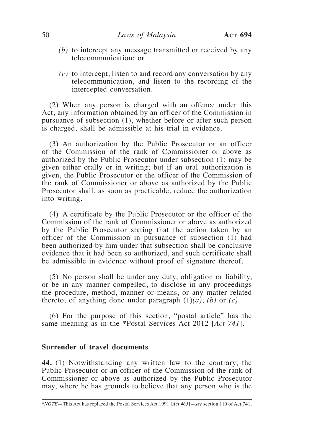- *(b)* to intercept any message transmitted or received by any telecommunication; or
- *(c)* to intercept, listen to and record any conversation by any telecommunication, and listen to the recording of the intercepted conversation.

(2) When any person is charged with an offence under this Act, any information obtained by an officer of the Commission in pursuance of subsection (1), whether before or after such person is charged, shall be admissible at his trial in evidence.

(3) An authorization by the Public Prosecutor or an officer of the Commission of the rank of Commissioner or above as authorized by the Public Prosecutor under subsection (1) may be given either orally or in writing; but if an oral authorization is given, the Public Prosecutor or the officer of the Commission of the rank of Commissioner or above as authorized by the Public Prosecutor shall, as soon as practicable, reduce the authorization into writing.

(4) A certificate by the Public Prosecutor or the officer of the Commission of the rank of Commissioner or above as authorized by the Public Prosecutor stating that the action taken by an officer of the Commission in pursuance of subsection (1) had been authorized by him under that subsection shall be conclusive evidence that it had been so authorized, and such certificate shall be admissible in evidence without proof of signature thereof.

(5) No person shall be under any duty, obligation or liability, or be in any manner compelled, to disclose in any proceedings the procedure, method, manner or means, or any matter related thereto, of anything done under paragraph  $(1)(a)$ ,  $(b)$  or  $(c)$ .

(6) For the purpose of this section, "postal article" has the same meaning as in the \*Postal Services Act 2012 [*Act 741*].

## **Surrender of travel documents**

**44.** (1) Notwithstanding any written law to the contrary, the Public Prosecutor or an officer of the Commission of the rank of Commissioner or above as authorized by the Public Prosecutor may, where he has grounds to believe that any person who is the

<sup>\*</sup>*NOTE*—This Act has replaced the Postal Services Act 1991 [*Act 465*]—*see* section 110 of Act 741.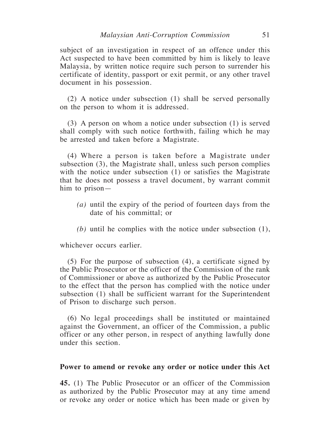subject of an investigation in respect of an offence under this Act suspected to have been committed by him is likely to leave Malaysia, by written notice require such person to surrender his certificate of identity, passport or exit permit, or any other travel document in his possession.

(2) A notice under subsection (1) shall be served personally on the person to whom it is addressed.

(3) A person on whom a notice under subsection (1) is served shall comply with such notice forthwith, failing which he may be arrested and taken before a Magistrate.

(4) Where a person is taken before a Magistrate under subsection (3), the Magistrate shall, unless such person complies with the notice under subsection (1) or satisfies the Magistrate that he does not possess a travel document, by warrant commit him to prison—

- *(a)* until the expiry of the period of fourteen days from the date of his committal; or
- *(b)* until he complies with the notice under subsection (1),

whichever occurs earlier.

(5) For the purpose of subsection (4), a certificate signed by the Public Prosecutor or the officer of the Commission of the rank of Commissioner or above as authorized by the Public Prosecutor to the effect that the person has complied with the notice under subsection (1) shall be sufficient warrant for the Superintendent of Prison to discharge such person.

(6) No legal proceedings shall be instituted or maintained against the Government, an officer of the Commission, a public officer or any other person, in respect of anything lawfully done under this section.

## **Power to amend or revoke any order or notice under this Act**

**45.** (1) The Public Prosecutor or an officer of the Commission as authorized by the Public Prosecutor may at any time amend or revoke any order or notice which has been made or given by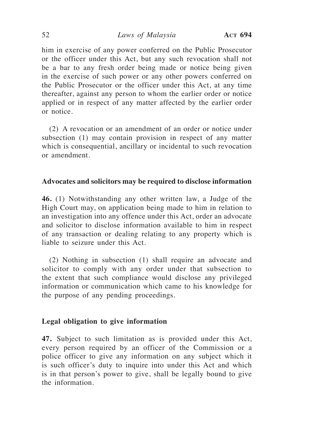him in exercise of any power conferred on the Public Prosecutor or the officer under this Act, but any such revocation shall not be a bar to any fresh order being made or notice being given in the exercise of such power or any other powers conferred on the Public Prosecutor or the officer under this Act, at any time thereafter, against any person to whom the earlier order or notice applied or in respect of any matter affected by the earlier order or notice.

(2) A revocation or an amendment of an order or notice under subsection (1) may contain provision in respect of any matter which is consequential, ancillary or incidental to such revocation or amendment.

## **Advocates and solicitors may be required to disclose information**

**46.** (1) Notwithstanding any other written law, a Judge of the High Court may, on application being made to him in relation to an investigation into any offence under this Act, order an advocate and solicitor to disclose information available to him in respect of any transaction or dealing relating to any property which is liable to seizure under this Act.

(2) Nothing in subsection (1) shall require an advocate and solicitor to comply with any order under that subsection to the extent that such compliance would disclose any privileged information or communication which came to his knowledge for the purpose of any pending proceedings.

#### **Legal obligation to give information**

**47.** Subject to such limitation as is provided under this Act, every person required by an officer of the Commission or a police officer to give any information on any subject which it is such officer's duty to inquire into under this Act and which is in that person's power to give, shall be legally bound to give the information.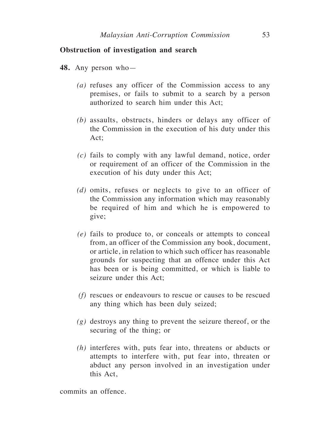## **Obstruction of investigation and search**

- **48.** Any person who—
	- *(a)* refuses any officer of the Commission access to any premises, or fails to submit to a search by a person authorized to search him under this Act;
	- *(b)* assaults, obstructs, hinders or delays any officer of the Commission in the execution of his duty under this Act;
	- *(c)* fails to comply with any lawful demand, notice, order or requirement of an officer of the Commission in the execution of his duty under this Act;
	- *(d)* omits, refuses or neglects to give to an officer of the Commission any information which may reasonably be required of him and which he is empowered to give;
	- *(e)* fails to produce to, or conceals or attempts to conceal from, an officer of the Commission any book, document, or article, in relation to which such officer has reasonable grounds for suspecting that an offence under this Act has been or is being committed, or which is liable to seizure under this Act:
	- *(f)* rescues or endeavours to rescue or causes to be rescued any thing which has been duly seized;
	- *(g)* destroys any thing to prevent the seizure thereof, or the securing of the thing; or
	- *(h)* interferes with, puts fear into, threatens or abducts or attempts to interfere with, put fear into, threaten or abduct any person involved in an investigation under this Act,

commits an offence.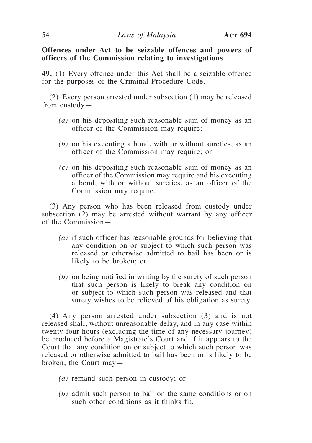## **Offences under Act to be seizable offences and powers of officers of the Commission relating to investigations**

**49.** (1) Every offence under this Act shall be a seizable offence for the purposes of the Criminal Procedure Code.

(2) Every person arrested under subsection (1) may be released from custody—

- *(a)* on his depositing such reasonable sum of money as an officer of the Commission may require;
- *(b)* on his executing a bond, with or without sureties, as an officer of the Commission may require; or
- *(c)* on his depositing such reasonable sum of money as an officer of the Commission may require and his executing a bond, with or without sureties, as an officer of the Commission may require.

(3) Any person who has been released from custody under subsection (2) may be arrested without warrant by any officer of the Commission—

- *(a)* if such officer has reasonable grounds for believing that any condition on or subject to which such person was released or otherwise admitted to bail has been or is likely to be broken; or
- *(b)* on being notified in writing by the surety of such person that such person is likely to break any condition on or subject to which such person was released and that surety wishes to be relieved of his obligation as surety.

(4) Any person arrested under subsection (3) and is not released shall, without unreasonable delay, and in any case within twenty-four hours (excluding the time of any necessary journey) be produced before a Magistrate's Court and if it appears to the Court that any condition on or subject to which such person was released or otherwise admitted to bail has been or is likely to be broken, the Court may—

- *(a)* remand such person in custody; or
- *(b)* admit such person to bail on the same conditions or on such other conditions as it thinks fit.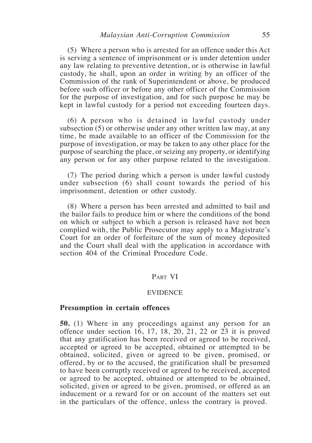(5) Where a person who is arrested for an offence under this Act is serving a sentence of imprisonment or is under detention under any law relating to preventive detention, or is otherwise in lawful custody, he shall, upon an order in writing by an officer of the Commission of the rank of Superintendent or above, be produced before such officer or before any other officer of the Commission for the purpose of investigation, and for such purpose he may be kept in lawful custody for a period not exceeding fourteen days.

(6) A person who is detained in lawful custody under subsection (5) or otherwise under any other written law may, at any time, be made available to an officer of the Commission for the purpose of investigation, or may be taken to any other place for the purpose of searching the place, or seizing any property, or identifying any person or for any other purpose related to the investigation.

(7) The period during which a person is under lawful custody under subsection (6) shall count towards the period of his imprisonment, detention or other custody.

(8) Where a person has been arrested and admitted to bail and the bailor fails to produce him or where the conditions of the bond on which or subject to which a person is released have not been complied with, the Public Prosecutor may apply to a Magistrate's Court for an order of forfeiture of the sum of money deposited and the Court shall deal with the application in accordance with section 404 of the Criminal Procedure Code.

#### Part VI

#### EVIDENCE

#### **Presumption in certain offences**

**50.** (1) Where in any proceedings against any person for an offence under section 16, 17, 18, 20, 21, 22 or 23 it is proved that any gratification has been received or agreed to be received, accepted or agreed to be accepted, obtained or attempted to be obtained, solicited, given or agreed to be given, promised, or offered, by or to the accused, the gratification shall be presumed to have been corruptly received or agreed to be received, accepted or agreed to be accepted, obtained or attempted to be obtained, solicited, given or agreed to be given, promised, or offered as an inducement or a reward for or on account of the matters set out in the particulars of the offence, unless the contrary is proved.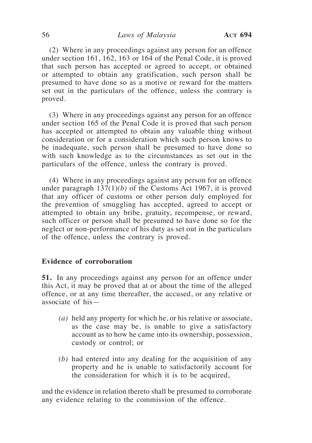(2) Where in any proceedings against any person for an offence under section 161, 162, 163 or 164 of the Penal Code, it is proved that such person has accepted or agreed to accept, or obtained or attempted to obtain any gratification, such person shall be presumed to have done so as a motive or reward for the matters set out in the particulars of the offence, unless the contrary is proved.

(3) Where in any proceedings against any person for an offence under section 165 of the Penal Code it is proved that such person has accepted or attempted to obtain any valuable thing without consideration or for a consideration which such person knows to be inadequate, such person shall be presumed to have done so with such knowledge as to the circumstances as set out in the particulars of the offence, unless the contrary is proved.

(4) Where in any proceedings against any person for an offence under paragraph 137(1)*(b)* of the Customs Act 1967, it is proved that any officer of customs or other person duly employed for the prevention of smuggling has accepted, agreed to accept or attempted to obtain any bribe, gratuity, recompense, or reward, such officer or person shall be presumed to have done so for the neglect or non-performance of his duty as set out in the particulars of the offence, unless the contrary is proved.

## **Evidence of corroboration**

**51.** In any proceedings against any person for an offence under this Act, it may be proved that at or about the time of the alleged offence, or at any time thereafter, the accused, or any relative or associate of his—

- *(a)* held any property for which he, or his relative or associate, as the case may be, is unable to give a satisfactory account as to how he came into its ownership, possession, custody or control; or
- *(b)* had entered into any dealing for the acquisition of any property and he is unable to satisfactorily account for the consideration for which it is to be acquired,

and the evidence in relation thereto shall be presumed to corroborate any evidence relating to the commission of the offence.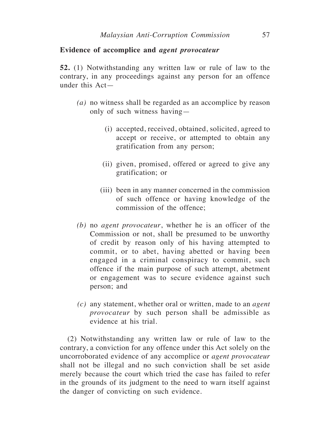## **Evidence of accomplice and** *agent provocateur*

**52.** (1) Notwithstanding any written law or rule of law to the contrary, in any proceedings against any person for an offence under this Act—

- *(a)* no witness shall be regarded as an accomplice by reason only of such witness having—
	- (i) accepted, received, obtained, solicited, agreed to accept or receive, or attempted to obtain any gratification from any person;
	- (ii) given, promised, offered or agreed to give any gratification; or
	- (iii) been in any manner concerned in the commission of such offence or having knowledge of the commission of the offence;
- *(b)* no *agent provocateur*, whether he is an officer of the Commission or not, shall be presumed to be unworthy of credit by reason only of his having attempted to commit, or to abet, having abetted or having been engaged in a criminal conspiracy to commit, such offence if the main purpose of such attempt, abetment or engagement was to secure evidence against such person; and
- *(c)* any statement, whether oral or written, made to an *agent provocateur* by such person shall be admissible as evidence at his trial.

(2) Notwithstanding any written law or rule of law to the contrary, a conviction for any offence under this Act solely on the uncorroborated evidence of any accomplice or *agent provocateur* shall not be illegal and no such conviction shall be set aside merely because the court which tried the case has failed to refer in the grounds of its judgment to the need to warn itself against the danger of convicting on such evidence.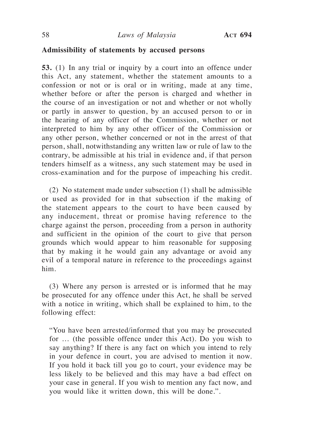## **Admissibility of statements by accused persons**

**53.** (1) In any trial or inquiry by a court into an offence under this Act, any statement, whether the statement amounts to a confession or not or is oral or in writing, made at any time, whether before or after the person is charged and whether in the course of an investigation or not and whether or not wholly or partly in answer to question, by an accused person to or in the hearing of any officer of the Commission, whether or not interpreted to him by any other officer of the Commission or any other person, whether concerned or not in the arrest of that person, shall, notwithstanding any written law or rule of law to the contrary, be admissible at his trial in evidence and, if that person tenders himself as a witness, any such statement may be used in cross-examination and for the purpose of impeaching his credit.

(2) No statement made under subsection (1) shall be admissible or used as provided for in that subsection if the making of the statement appears to the court to have been caused by any inducement, threat or promise having reference to the charge against the person, proceeding from a person in authority and sufficient in the opinion of the court to give that person grounds which would appear to him reasonable for supposing that by making it he would gain any advantage or avoid any evil of a temporal nature in reference to the proceedings against him.

(3) Where any person is arrested or is informed that he may be prosecuted for any offence under this Act, he shall be served with a notice in writing, which shall be explained to him, to the following effect:

"You have been arrested/informed that you may be prosecuted for … (the possible offence under this Act). Do you wish to say anything? If there is any fact on which you intend to rely in your defence in court, you are advised to mention it now. If you hold it back till you go to court, your evidence may be less likely to be believed and this may have a bad effect on your case in general. If you wish to mention any fact now, and you would like it written down, this will be done.".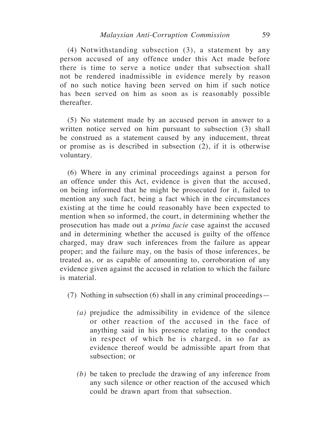(4) Notwithstanding subsection (3), a statement by any person accused of any offence under this Act made before there is time to serve a notice under that subsection shall not be rendered inadmissible in evidence merely by reason of no such notice having been served on him if such notice has been served on him as soon as is reasonably possible thereafter.

(5) No statement made by an accused person in answer to a written notice served on him pursuant to subsection (3) shall be construed as a statement caused by any inducement, threat or promise as is described in subsection (2), if it is otherwise voluntary.

(6) Where in any criminal proceedings against a person for an offence under this Act, evidence is given that the accused, on being informed that he might be prosecuted for it, failed to mention any such fact, being a fact which in the circumstances existing at the time he could reasonably have been expected to mention when so informed, the court, in determining whether the prosecution has made out a *prima facie* case against the accused and in determining whether the accused is guilty of the offence charged, may draw such inferences from the failure as appear proper; and the failure may, on the basis of those inferences, be treated as, or as capable of amounting to, corroboration of any evidence given against the accused in relation to which the failure is material.

(7) Nothing in subsection (6) shall in any criminal proceedings—

- *(a)* prejudice the admissibility in evidence of the silence or other reaction of the accused in the face of anything said in his presence relating to the conduct in respect of which he is charged, in so far as evidence thereof would be admissible apart from that subsection; or
- *(b)* be taken to preclude the drawing of any inference from any such silence or other reaction of the accused which could be drawn apart from that subsection.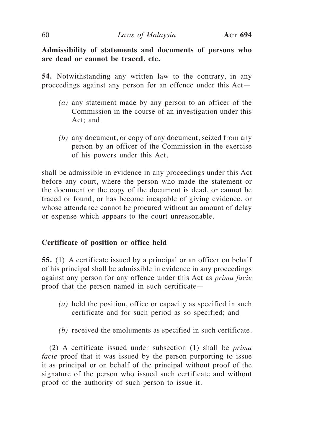**Admissibility of statements and documents of persons who are dead or cannot be traced, etc.**

**54.** Notwithstanding any written law to the contrary, in any proceedings against any person for an offence under this Act—

- *(a)* any statement made by any person to an officer of the Commission in the course of an investigation under this Act; and
- *(b)* any document, or copy of any document, seized from any person by an officer of the Commission in the exercise of his powers under this Act,

shall be admissible in evidence in any proceedings under this Act before any court, where the person who made the statement or the document or the copy of the document is dead, or cannot be traced or found, or has become incapable of giving evidence, or whose attendance cannot be procured without an amount of delay or expense which appears to the court unreasonable.

## **Certificate of position or office held**

**55.** (1) A certificate issued by a principal or an officer on behalf of his principal shall be admissible in evidence in any proceedings against any person for any offence under this Act as *prima facie* proof that the person named in such certificate—

- *(a)* held the position, office or capacity as specified in such certificate and for such period as so specified; and
- *(b)* received the emoluments as specified in such certificate.

(2) A certificate issued under subsection (1) shall be *prima facie* proof that it was issued by the person purporting to issue it as principal or on behalf of the principal without proof of the signature of the person who issued such certificate and without proof of the authority of such person to issue it.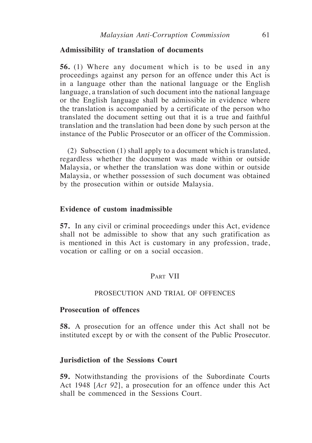## **Admissibility of translation of documents**

**56.** (1) Where any document which is to be used in any proceedings against any person for an offence under this Act is in a language other than the national language or the English language, a translation of such document into the national language or the English language shall be admissible in evidence where the translation is accompanied by a certificate of the person who translated the document setting out that it is a true and faithful translation and the translation had been done by such person at the instance of the Public Prosecutor or an officer of the Commission.

(2) Subsection (1) shall apply to a document which is translated, regardless whether the document was made within or outside Malaysia, or whether the translation was done within or outside Malaysia, or whether possession of such document was obtained by the prosecution within or outside Malaysia.

## **Evidence of custom inadmissible**

**57.** In any civil or criminal proceedings under this Act, evidence shall not be admissible to show that any such gratification as is mentioned in this Act is customary in any profession, trade, vocation or calling or on a social occasion.

## Part VII

## PROSECUTION AND TRIAL OF OFFENCES

#### **Prosecution of offences**

**58.** A prosecution for an offence under this Act shall not be instituted except by or with the consent of the Public Prosecutor.

## **Jurisdiction of the Sessions Court**

**59.** Notwithstanding the provisions of the Subordinate Courts Act 1948 [*Act 92*], a prosecution for an offence under this Act shall be commenced in the Sessions Court.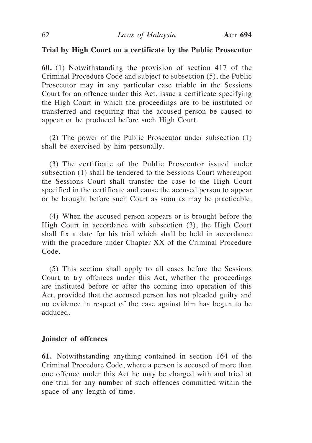## **Trial by High Court on a certificate by the Public Prosecutor**

**60.** (1) Notwithstanding the provision of section 417 of the Criminal Procedure Code and subject to subsection (5), the Public Prosecutor may in any particular case triable in the Sessions Court for an offence under this Act, issue a certificate specifying the High Court in which the proceedings are to be instituted or transferred and requiring that the accused person be caused to appear or be produced before such High Court.

(2) The power of the Public Prosecutor under subsection (1) shall be exercised by him personally.

(3) The certificate of the Public Prosecutor issued under subsection (1) shall be tendered to the Sessions Court whereupon the Sessions Court shall transfer the case to the High Court specified in the certificate and cause the accused person to appear or be brought before such Court as soon as may be practicable.

(4) When the accused person appears or is brought before the High Court in accordance with subsection (3), the High Court shall fix a date for his trial which shall be held in accordance with the procedure under Chapter XX of the Criminal Procedure Code.

(5) This section shall apply to all cases before the Sessions Court to try offences under this Act, whether the proceedings are instituted before or after the coming into operation of this Act, provided that the accused person has not pleaded guilty and no evidence in respect of the case against him has begun to be adduced.

## **Joinder of offences**

**61.** Notwithstanding anything contained in section 164 of the Criminal Procedure Code, where a person is accused of more than one offence under this Act he may be charged with and tried at one trial for any number of such offences committed within the space of any length of time.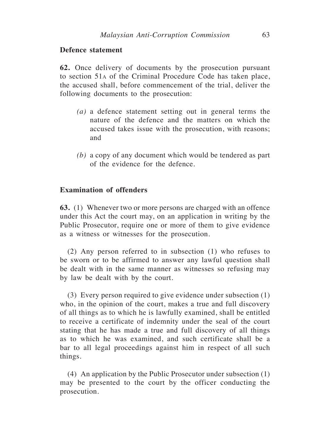## **Defence statement**

**62.** Once delivery of documents by the prosecution pursuant to section 51a of the Criminal Procedure Code has taken place, the accused shall, before commencement of the trial, deliver the following documents to the prosecution:

- *(a)* a defence statement setting out in general terms the nature of the defence and the matters on which the accused takes issue with the prosecution, with reasons; and
- *(b)* a copy of any document which would be tendered as part of the evidence for the defence.

## **Examination of offenders**

**63.** (1) Whenever two or more persons are charged with an offence under this Act the court may, on an application in writing by the Public Prosecutor, require one or more of them to give evidence as a witness or witnesses for the prosecution.

(2) Any person referred to in subsection (1) who refuses to be sworn or to be affirmed to answer any lawful question shall be dealt with in the same manner as witnesses so refusing may by law be dealt with by the court.

(3) Every person required to give evidence under subsection (1) who, in the opinion of the court, makes a true and full discovery of all things as to which he is lawfully examined, shall be entitled to receive a certificate of indemnity under the seal of the court stating that he has made a true and full discovery of all things as to which he was examined, and such certificate shall be a bar to all legal proceedings against him in respect of all such things.

(4) An application by the Public Prosecutor under subsection (1) may be presented to the court by the officer conducting the prosecution.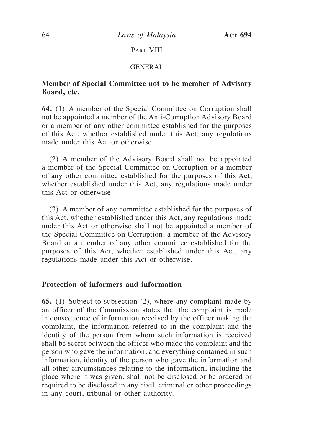64 *Laws of Malaysia* **Act 694**

## PART VIII

#### GENERAL

## **Member of Special Committee not to be member of Advisory Board, etc.**

**64.** (1) A member of the Special Committee on Corruption shall not be appointed a member of the Anti-Corruption Advisory Board or a member of any other committee established for the purposes of this Act, whether established under this Act, any regulations made under this Act or otherwise.

(2) A member of the Advisory Board shall not be appointed a member of the Special Committee on Corruption or a member of any other committee established for the purposes of this Act, whether established under this Act, any regulations made under this Act or otherwise.

(3) A member of any committee established for the purposes of this Act, whether established under this Act, any regulations made under this Act or otherwise shall not be appointed a member of the Special Committee on Corruption, a member of the Advisory Board or a member of any other committee established for the purposes of this Act, whether established under this Act, any regulations made under this Act or otherwise.

## **Protection of informers and information**

**65.** (1) Subject to subsection (2), where any complaint made by an officer of the Commission states that the complaint is made in consequence of information received by the officer making the complaint, the information referred to in the complaint and the identity of the person from whom such information is received shall be secret between the officer who made the complaint and the person who gave the information, and everything contained in such information, identity of the person who gave the information and all other circumstances relating to the information, including the place where it was given, shall not be disclosed or be ordered or required to be disclosed in any civil, criminal or other proceedings in any court, tribunal or other authority.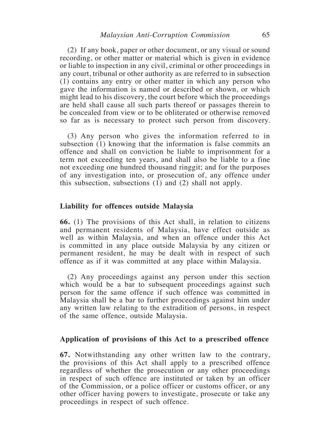(2) If any book, paper or other document, or any visual or sound recording, or other matter or material which is given in evidence or liable to inspection in any civil, criminal or other proceedings in any court, tribunal or other authority as are referred to in subsection (1) contains any entry or other matter in which any person who gave the information is named or described or shown, or which might lead to his discovery, the court before which the proceedings are held shall cause all such parts thereof or passages therein to be concealed from view or to be obliterated or otherwise removed so far as is necessary to protect such person from discovery.

(3) Any person who gives the information referred to in subsection (1) knowing that the information is false commits an offence and shall on conviction be liable to imprisonment for a term not exceeding ten years, and shall also be liable to a fine not exceeding one hundred thousand ringgit; and for the purposes of any investigation into, or prosecution of, any offence under this subsection, subsections  $(1)$  and  $(2)$  shall not apply.

#### **Liability for offences outside Malaysia**

**66.** (1) The provisions of this Act shall, in relation to citizens and permanent residents of Malaysia, have effect outside as well as within Malaysia, and when an offence under this Act is committed in any place outside Malaysia by any citizen or permanent resident, he may be dealt with in respect of such offence as if it was committed at any place within Malaysia.

(2) Any proceedings against any person under this section which would be a bar to subsequent proceedings against such person for the same offence if such offence was committed in Malaysia shall be a bar to further proceedings against him under any written law relating to the extradition of persons, in respect of the same offence, outside Malaysia.

#### **Application of provisions of this Act to a prescribed offence**

**67.** Notwithstanding any other written law to the contrary, the provisions of this Act shall apply to a prescribed offence regardless of whether the prosecution or any other proceedings in respect of such offence are instituted or taken by an officer of the Commission, or a police officer or customs officer, or any other officer having powers to investigate, prosecute or take any proceedings in respect of such offence.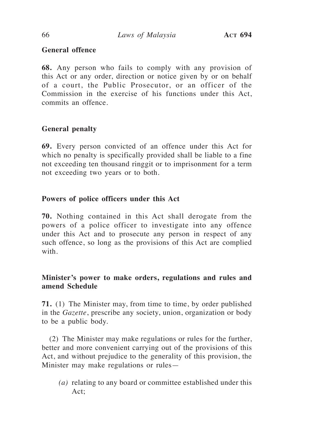# **General offence**

**68.** Any person who fails to comply with any provision of this Act or any order, direction or notice given by or on behalf of a court, the Public Prosecutor, or an officer of the Commission in the exercise of his functions under this Act, commits an offence.

# **General penalty**

**69.** Every person convicted of an offence under this Act for which no penalty is specifically provided shall be liable to a fine not exceeding ten thousand ringgit or to imprisonment for a term not exceeding two years or to both.

# **Powers of police officers under this Act**

**70.** Nothing contained in this Act shall derogate from the powers of a police officer to investigate into any offence under this Act and to prosecute any person in respect of any such offence, so long as the provisions of this Act are complied with.

# **Minister's power to make orders, regulations and rules and amend Schedule**

**71.** (1) The Minister may, from time to time, by order published in the *Gazette*, prescribe any society, union, organization or body to be a public body.

(2) The Minister may make regulations or rules for the further, better and more convenient carrying out of the provisions of this Act, and without prejudice to the generality of this provision, the Minister may make regulations or rules—

*(a)* relating to any board or committee established under this Act;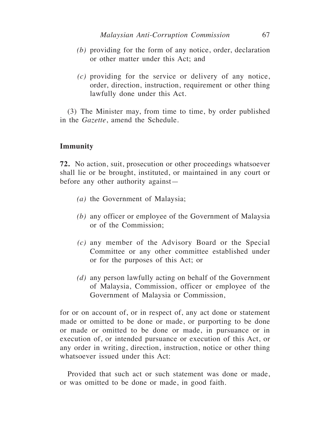- *(b)* providing for the form of any notice, order, declaration or other matter under this Act; and
- *(c)* providing for the service or delivery of any notice, order, direction, instruction, requirement or other thing lawfully done under this Act.

(3) The Minister may, from time to time, by order published in the *Gazette*, amend the Schedule.

## **Immunity**

**72.** No action, suit, prosecution or other proceedings whatsoever shall lie or be brought, instituted, or maintained in any court or before any other authority against—

- *(a)* the Government of Malaysia;
- *(b)* any officer or employee of the Government of Malaysia or of the Commission;
- *(c)* any member of the Advisory Board or the Special Committee or any other committee established under or for the purposes of this Act; or
- *(d)* any person lawfully acting on behalf of the Government of Malaysia, Commission, officer or employee of the Government of Malaysia or Commission,

for or on account of, or in respect of, any act done or statement made or omitted to be done or made, or purporting to be done or made or omitted to be done or made, in pursuance or in execution of, or intended pursuance or execution of this Act, or any order in writing, direction, instruction, notice or other thing whatsoever issued under this Act:

Provided that such act or such statement was done or made, or was omitted to be done or made, in good faith.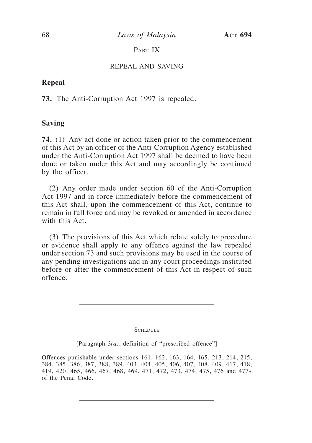# PART IX

#### REPEAL AND SAVING

## **Repeal**

**73.** The Anti-Corruption Act 1997 is repealed.

## **Saving**

**74.** (1) Any act done or action taken prior to the commencement of this Act by an officer of the Anti-Corruption Agency established under the Anti-Corruption Act 1997 shall be deemed to have been done or taken under this Act and may accordingly be continued by the officer.

(2) Any order made under section 60 of the Anti-Corruption Act 1997 and in force immediately before the commencement of this Act shall, upon the commencement of this Act, continue to remain in full force and may be revoked or amended in accordance with this Act.

(3) The provisions of this Act which relate solely to procedure or evidence shall apply to any offence against the law repealed under section 73 and such provisions may be used in the course of any pending investigations and in any court proceedings instituted before or after the commencement of this Act in respect of such offence.

#### **SCHEDULE**

[Paragraph 3*(a)*, definition of "prescribed offence"]

Offences punishable under sections 161, 162, 163, 164, 165, 213, 214, 215, 384, 385, 386, 387, 388, 389, 403, 404, 405, 406, 407, 408, 409, 417, 418, 419, 420, 465, 466, 467, 468, 469, 471, 472, 473, 474, 475, 476 and 477<sup>a</sup> of the Penal Code.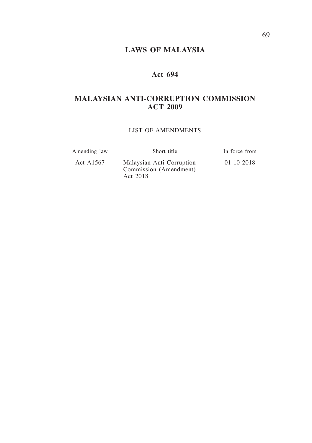# **LAWS OF MALAYSIA**

# **Act 694**

# **MALAYSIAN ANTI-CORRUPTION COMMISSION ACT 2009**

#### LIST OF AMENDMENTS

| Amending law | Short title                                                     | In force from    |
|--------------|-----------------------------------------------------------------|------------------|
| Act A1567    | Malaysian Anti-Corruption<br>Commission (Amendment)<br>Act 2018 | $01 - 10 - 2018$ |

*Malaysian Anti-Corruption Commission* 69